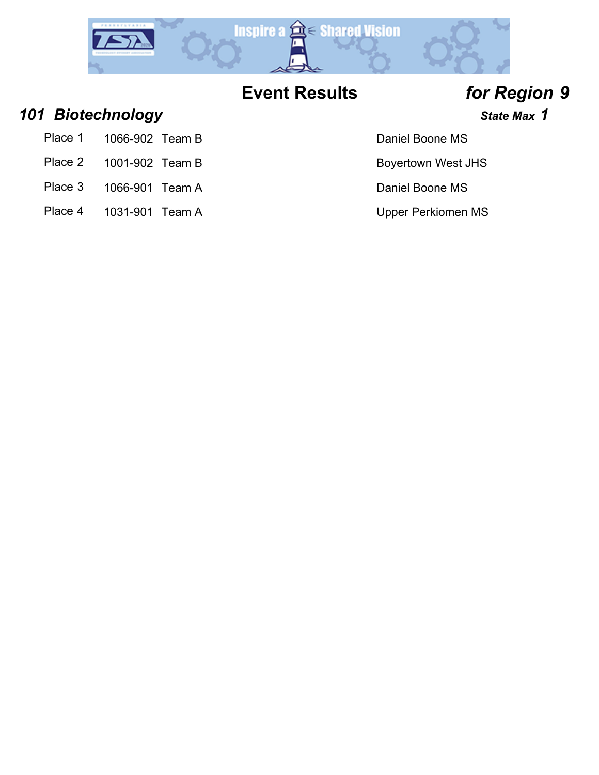

### *101 Biotechnology State Max 1*

- Place 1 1066-902 Team B Daniel Boone MS
- Place 2 1001-902 Team B Boyertown West JHS
- Place 3 1066-901 Team A Daniel Boone MS
- Place 4 1031-901 Team A Version Communication Communication Communication Communication Communication Communication Communication Communication Communication Communication Communication Communication Communication Communic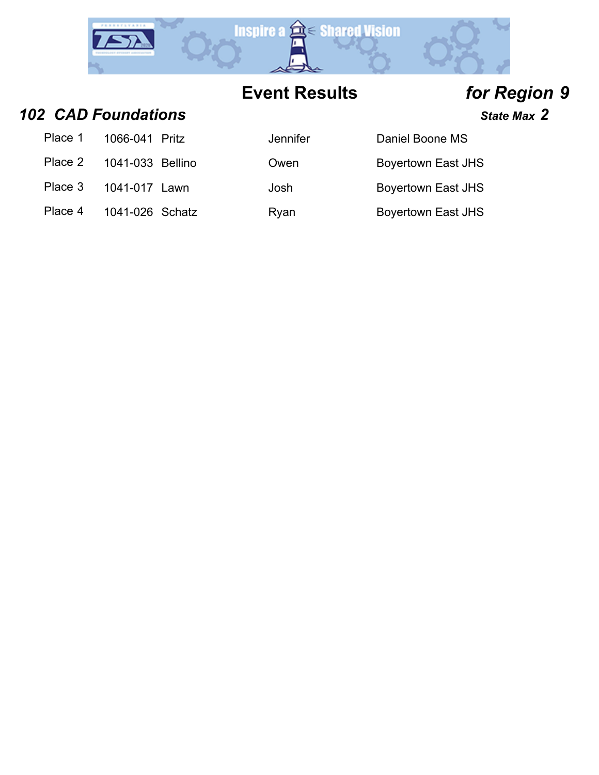

*102 CAD Foundations State Max 2*

| Place 1 1066-041 Pritz   | Jer |
|--------------------------|-----|
| Place 2 1041-033 Bellino | Оw  |
| Place 3 1041-017 Lawn    | Jos |

| Place 1 | 1066-041 Pritz   | Jennifer | Daniel Boone MS    |
|---------|------------------|----------|--------------------|
| Place 2 | 1041-033 Bellino | Owen     | Boyertown East JHS |
| Place 3 | 1041-017 Lawn    | Josh     | Boyertown East JHS |
| Place 4 | 1041-026 Schatz  | Ryan     | Boyertown East JHS |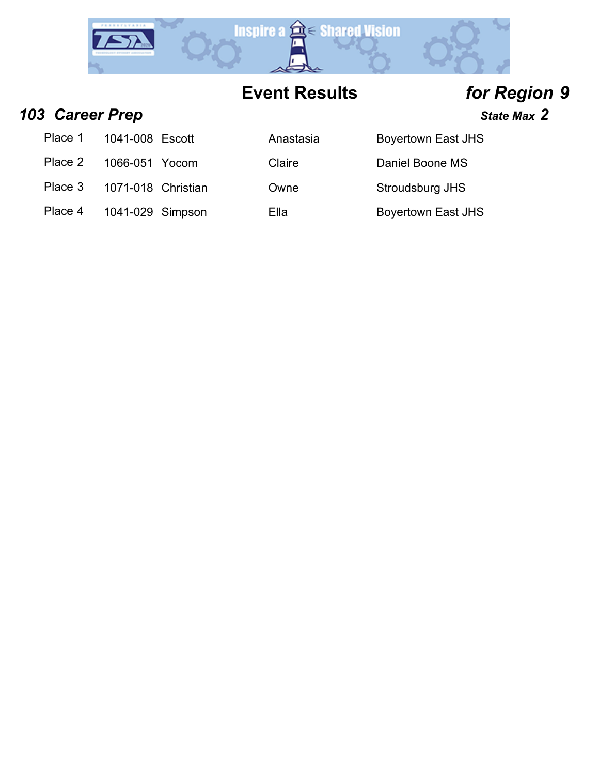

*103 Career Prep State Max 2*

| Place 1 | 1041-008 Escott    | Anastasia | <b>Boyertown East JHS</b> |
|---------|--------------------|-----------|---------------------------|
| Place 2 | 1066-051 Yocom     | Claire    | Daniel Boone MS           |
| Place 3 | 1071-018 Christian | Owne      | Stroudsburg JHS           |
| Place 4 | 1041-029 Simpson   | Ella      | <b>Boyertown East JHS</b> |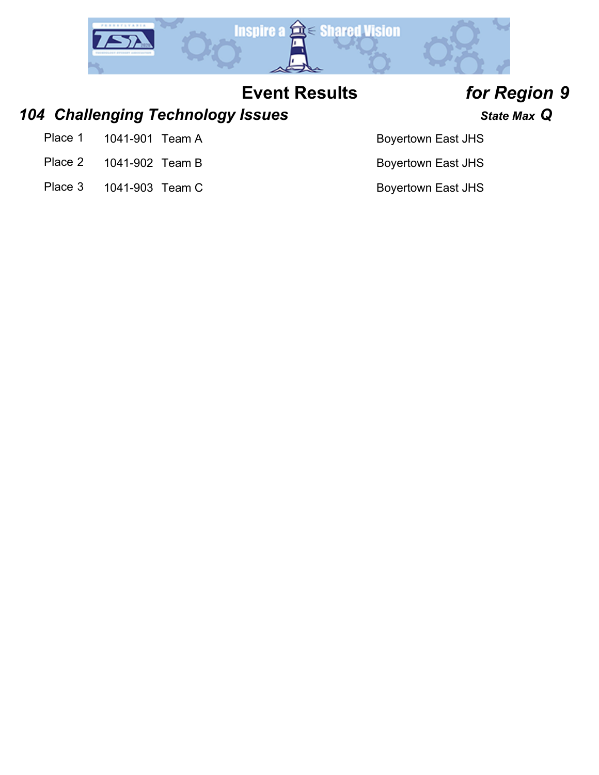

### *104 Challenging Technology Issues State Max Q*

- Place 1 1041-901 Team A Boyertown East JHS
- Place 2 1041-902 Team B Boyertown East JHS
- Place 3 1041-903 Team C Boyertown East JHS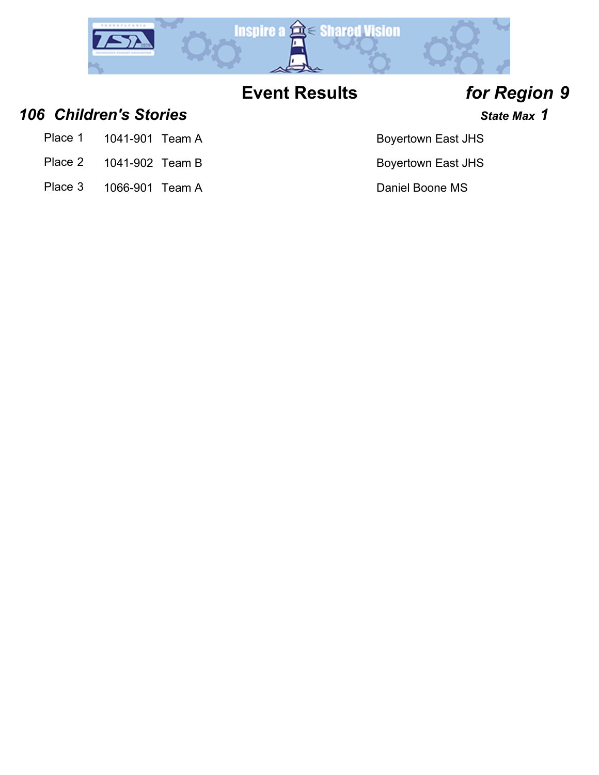

*106 Children's Stories State Max 1*

- Place 1 1041-901 Team A Boyertown East JHS
- Place 2 1041-902 Team B Boyertown East JHS
- Place 3 1066-901 Team A Daniel Boone MS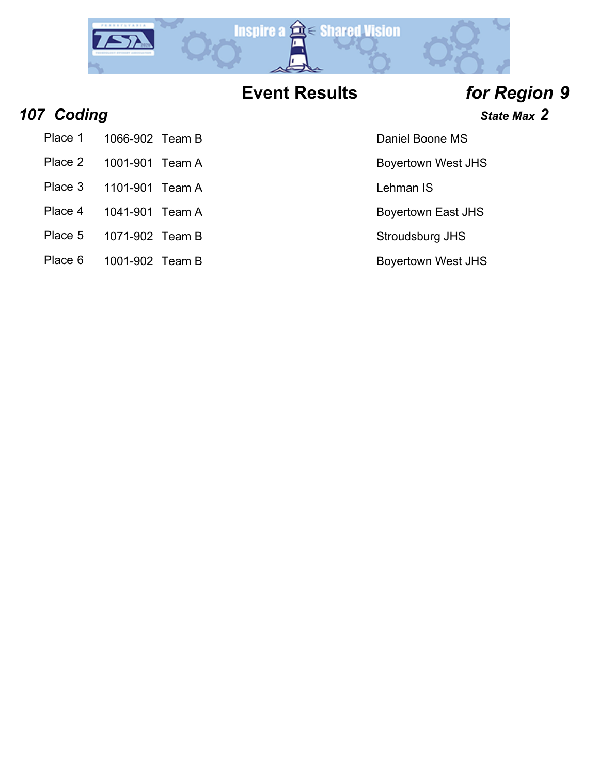

## *107 Coding State Max 2*

Place 1 1066-902 Team B Daniel Boone MS

- Place 2 1001-901 Team A Boyertown West JHS
- Place 3 1101-901 Team A Lehman IS
- 
- 
- Place 5 1071-902 Team B Stroudsburg JHS
- Place 6 1001-902 Team B Boyertown West JHS

Place 4 1041-901 Team A Boyertown East JHS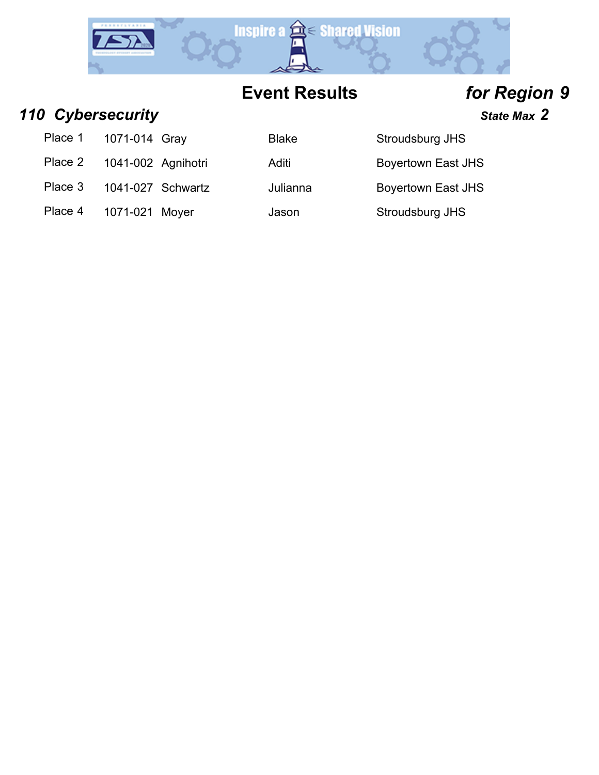

*110 Cybersecurity State Max 2*

Place 1 1071-014 Gray Blake Stroudsburg JHS

Place 2 1041-002 Agnihotri Aditi Aditi Boyertown East JHS

Place 3 1041-027 Schwartz Julianna Boyertown East JHS

Place 4 1071-021 Moyer Jason Stroudsburg JHS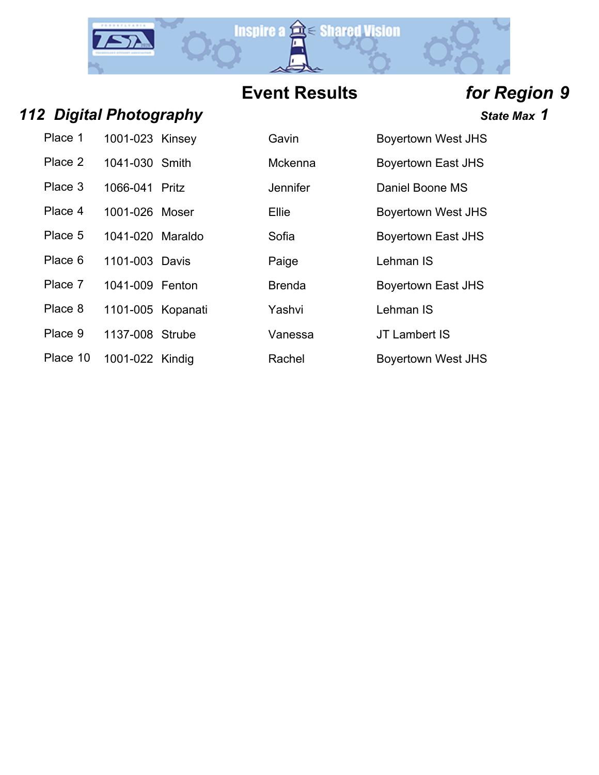

## *112 Digital Photography State Max 1*

| Place 1  | 1001-023 Kinsey   | Gavin          | <b>Boyertown</b> |
|----------|-------------------|----------------|------------------|
| Place 2  | 1041-030 Smith    | <b>Mckenna</b> | <b>Boyertown</b> |
| Place 3  | 1066-041 Pritz    | Jennifer       | Daniel Boo       |
| Place 4  | 1001-026 Moser    | Ellie          | <b>Boyertown</b> |
| Place 5  | 1041-020 Maraldo  | Sofia          | <b>Boyertown</b> |
| Place 6  | 1101-003 Davis    | Paige          | Lehman IS        |
| Place 7  | 1041-009 Fenton   | <b>Brenda</b>  | <b>Boyertown</b> |
| Place 8  | 1101-005 Kopanati | Yashvi         | Lehman IS        |
| Place 9  | 1137-008 Strube   | Vanessa        | JT Lamber        |
| Place 10 | 1001-022 Kindia   | Rachel         | <b>Bovertown</b> |

| Place 1  | 1001-023 Kinsey   | Gavin           | <b>Boyertown West JHS</b> |
|----------|-------------------|-----------------|---------------------------|
| Place 2  | 1041-030 Smith    | Mckenna         | <b>Boyertown East JHS</b> |
| Place 3  | 1066-041 Pritz    | <b>Jennifer</b> | Daniel Boone MS           |
| Place 4  | 1001-026 Moser    | Ellie           | <b>Boyertown West JHS</b> |
| Place 5  | 1041-020 Maraldo  | Sofia           | <b>Boyertown East JHS</b> |
| Place 6  | 1101-003 Davis    | Paige           | Lehman IS                 |
| Place 7  | 1041-009 Fenton   | <b>Brenda</b>   | <b>Boyertown East JHS</b> |
| Place 8  | 1101-005 Kopanati | Yashvi          | Lehman IS                 |
| Place 9  | 1137-008 Strube   | Vanessa         | JT Lambert IS             |
| Place 10 | 1001-022 Kindig   | Rachel          | <b>Boyertown West JHS</b> |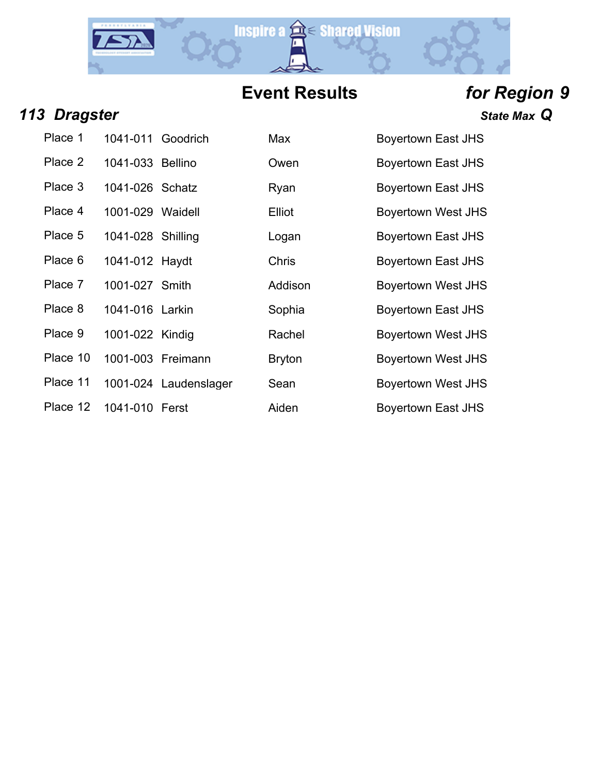

## *113 Dragster State Max Q*

| Place 1  | 1041-011 Goodrich |                     |
|----------|-------------------|---------------------|
| Place 2  | 1041-033 Bellino  |                     |
| Place 3  | 1041-026 Schatz   |                     |
| Place 4  | 1001-029 Waidell  |                     |
| Place 5  | 1041-028 Shilling |                     |
| Place 6  | 1041-012 Haydt    |                     |
| Place 7  | 1001-027 Smith    |                     |
| Place 8  | 1041-016 Larkin   |                     |
| Place 9  | 1001-022 Kindig   |                     |
| Place 10 | 1001-003 Freimann |                     |
| Place 11 |                   | 1001-024 Laudenslag |
| Place 12 | 1041-010 Ferst    |                     |

| Place 1  | 1041-011 Goodrich |                       | Max           | <b>Boyertown East JHS</b> |
|----------|-------------------|-----------------------|---------------|---------------------------|
| Place 2  | 1041-033 Bellino  |                       | Owen          | <b>Boyertown East JHS</b> |
| Place 3  | 1041-026 Schatz   |                       | Ryan          | <b>Boyertown East JHS</b> |
| Place 4  | 1001-029 Waidell  |                       | Elliot        | <b>Boyertown West JHS</b> |
| Place 5  | 1041-028 Shilling |                       | Logan         | <b>Boyertown East JHS</b> |
| Place 6  | 1041-012 Haydt    |                       | Chris         | Boyertown East JHS        |
| Place 7  | 1001-027 Smith    |                       | Addison       | <b>Boyertown West JHS</b> |
| Place 8  | 1041-016 Larkin   |                       | Sophia        | <b>Boyertown East JHS</b> |
| Place 9  | 1001-022 Kindig   |                       | Rachel        | <b>Boyertown West JHS</b> |
| Place 10 |                   | 1001-003 Freimann     | <b>Bryton</b> | <b>Boyertown West JHS</b> |
| Place 11 |                   | 1001-024 Laudenslager | Sean          | <b>Boyertown West JHS</b> |
| Place 12 | 1041-010 Ferst    |                       | Aiden         | <b>Boyertown East JHS</b> |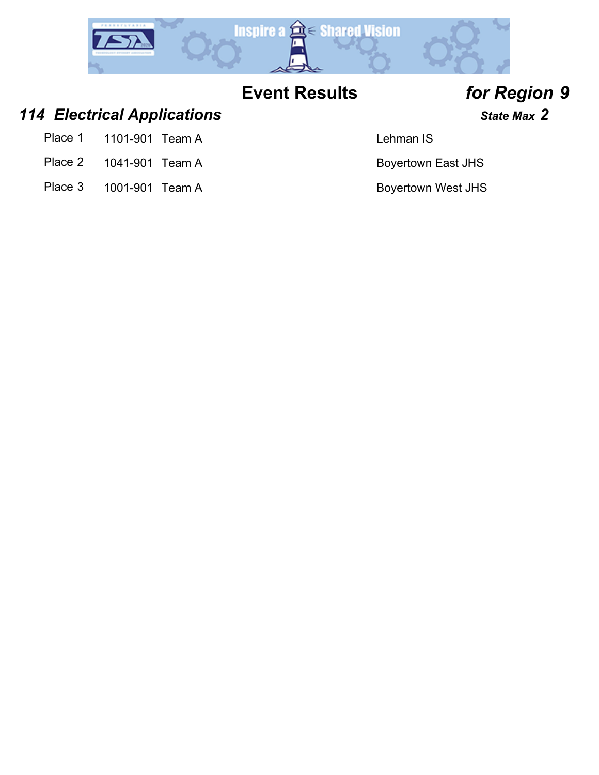

### *114 Electrical Applications State Max 2*

- Place 1 1101-901 Team A Lehman IS
- Place 2 1041-901 Team A Boyertown East JHS
- Place 3 1001-901 Team A Boyertown West JHS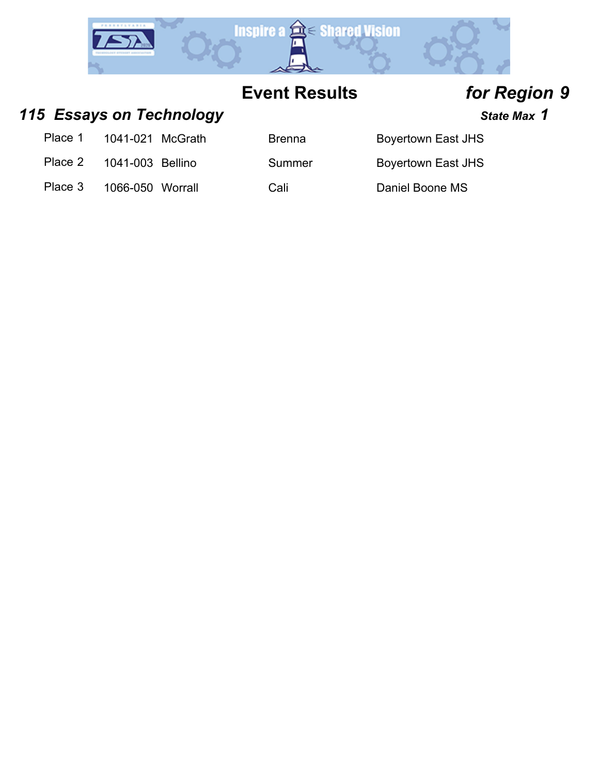

### 115 **Essays on Technology State Max 1** State Max 1

| Place 1 | 1041-021 McGrath |  |
|---------|------------------|--|
|---------|------------------|--|

Place 2 1041-003 Bellino Summer Boyertown East JHS

Brenna Boyertown East JHS

Place 3 1066-050 Worrall Cali Cali Daniel Boone MS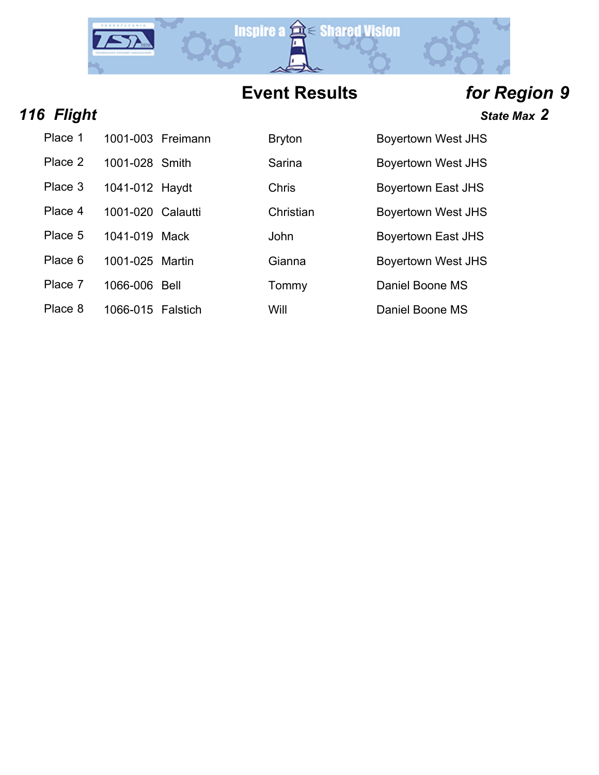

| 116 Flight | State Max 2 |
|------------|-------------|
|            |             |

| Place 1 | 1001-003 Freimann | <b>Bryton</b> | <b>Boyertown West JHS</b> |
|---------|-------------------|---------------|---------------------------|
| Place 2 | 1001-028 Smith    | Sarina        | <b>Boyertown West JHS</b> |
| Place 3 | 1041-012 Haydt    | <b>Chris</b>  | Boyertown East JHS        |
| Place 4 | 1001-020 Calautti | Christian     | <b>Boyertown West JHS</b> |
| Place 5 | 1041-019 Mack     | John          | Boyertown East JHS        |
| Place 6 | 1001-025 Martin   | Gianna        | <b>Boyertown West JHS</b> |
| Place 7 | 1066-006 Bell     | Tommy         | Daniel Boone MS           |
| Place 8 | 1066-015 Falstich | Will          | Daniel Boone MS           |

| Bryton    |  |
|-----------|--|
| Sarina    |  |
| Chris     |  |
| Christian |  |
| John      |  |
| Gianna    |  |
|           |  |

| <b>Boyertown West JHS</b> |
|---------------------------|
| <b>Boyertown West JHS</b> |
| <b>Bovertown East JHS</b> |
| <b>Boyertown West JHS</b> |
| <b>Boyertown East JHS</b> |
| <b>Bovertown West JHS</b> |
| Daniel Boone MS           |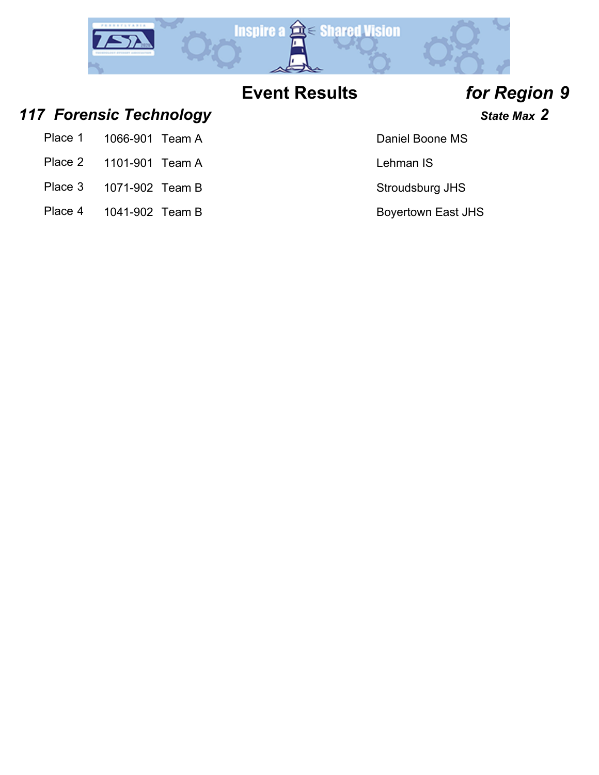

## *117 Forensic Technology State Max 2*

| 1066-901 Team A |
|-----------------|

- Place 2 1101-901 Team A Lehman IS
- Place 3 1071-902 Team B Stroudsburg JHS
- Place 4 1041-902 Team B Boyertown East JHS

### Daniel Boone MS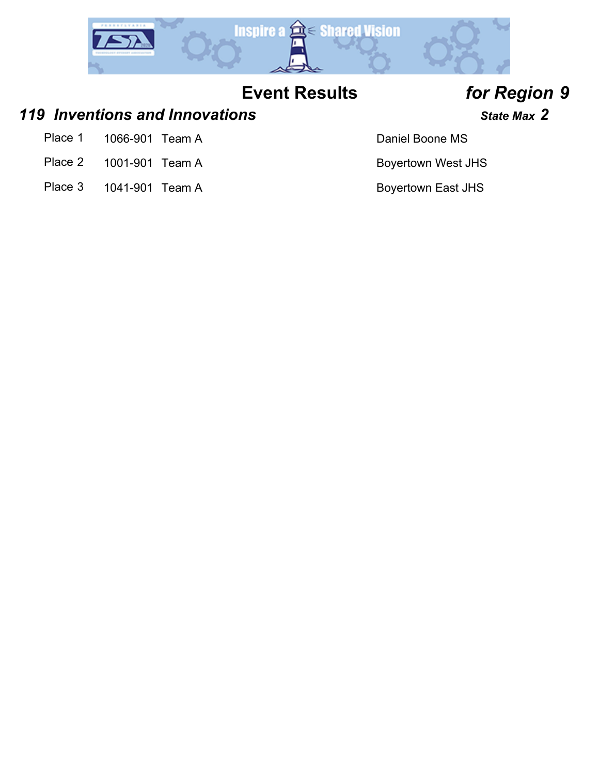

### *119 Inventions and Innovations State Max 2*

- Place 1 1066-901 Team A Daniel Boone MS
- Place 2 1001-901 Team A Boyertown West JHS
- Place 3 1041-901 Team A Boyertown East JHS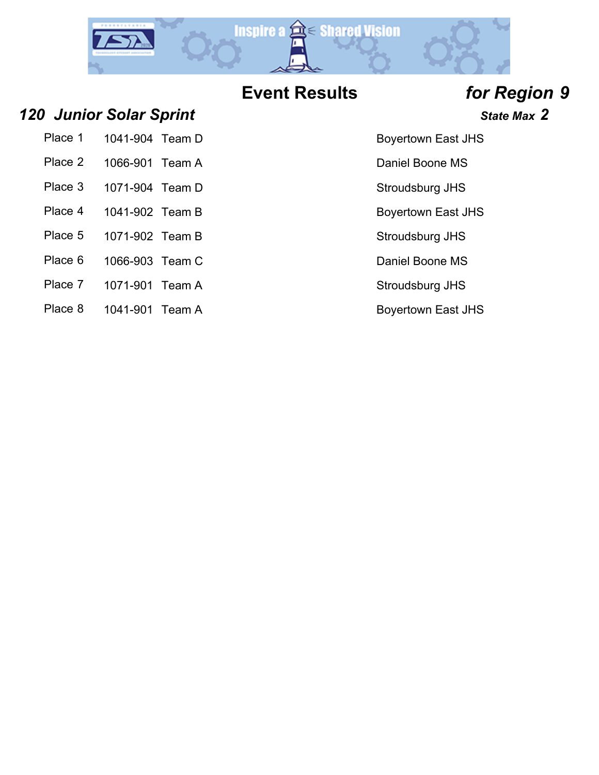

*120 Junior Solar Sprint State Max 2*

- Place 2 1066-901 Team A Daniel Boone MS
- Place 3 1071-904 Team D Stroudsburg JHS
- Place 4 1041-902 Team B Boyertown East JHS
- Place 5 1071-902 Team B Stroudsburg JHS
- Place 6 1066-903 Team C Daniel Boone MS
- Place 7 1071-901 Team A Stroudsburg JHS
- Place 8 1041-901 Team A Boyertown East JHS

Place 1 1041-904 Team D Boyertown East JHS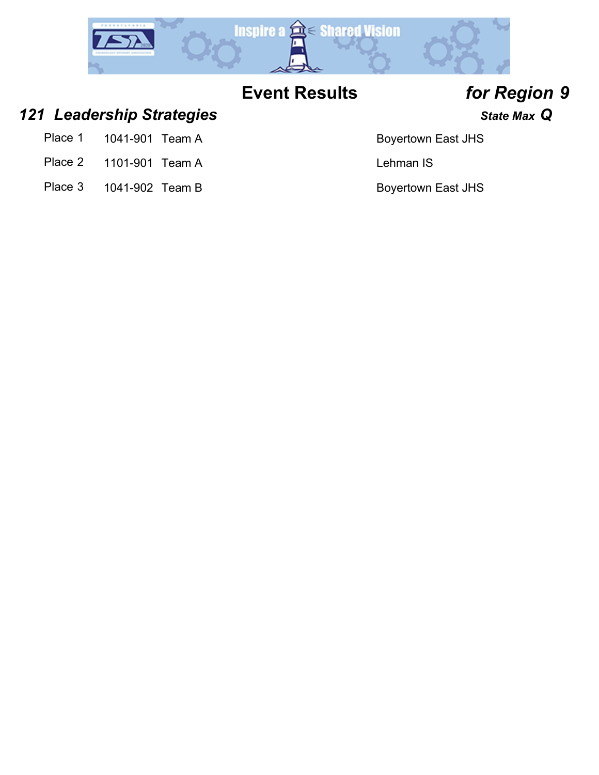

### *121 Leadership Strategies State Max Q*

- Place 1 1041-901 Team A Boyertown East JHS
- Place 2 1101-901 Team A Lehman IS
- Place 3 1041-902 Team B Boyertown East JHS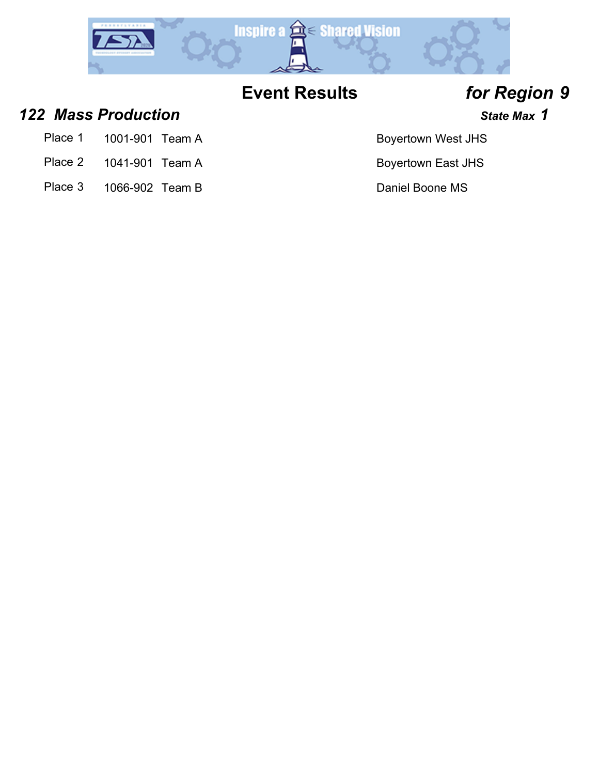

*122 Mass Production State Max 1*

- Place 1 1001-901 Team A Boyertown West JHS
- Place 2 1041-901 Team A Boyertown East JHS
- Place 3 1066-902 Team B Daniel Boone MS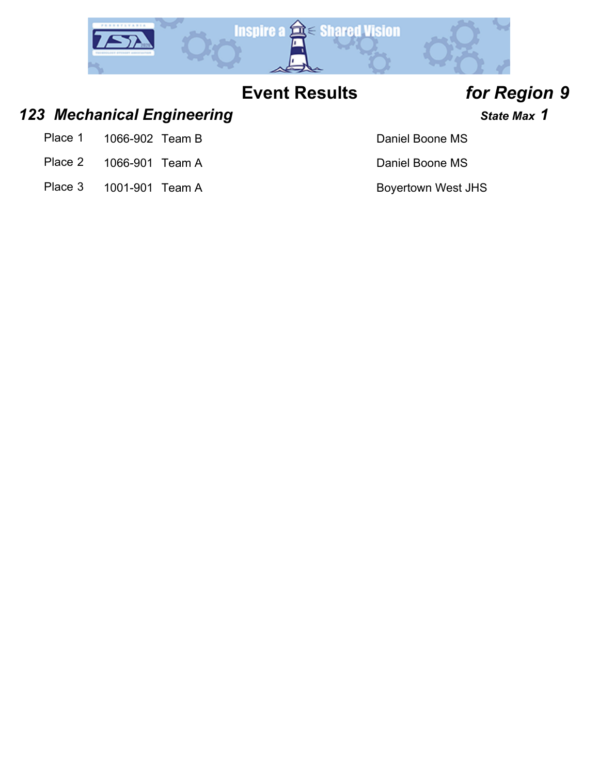

### *123 Mechanical Engineering State Max 1*

- Place 1 1066-902 Team B Daniel Boone MS
- Place 2 1066-901 Team A Daniel Boone MS
- Place 3 1001-901 Team A Boyertown West JHS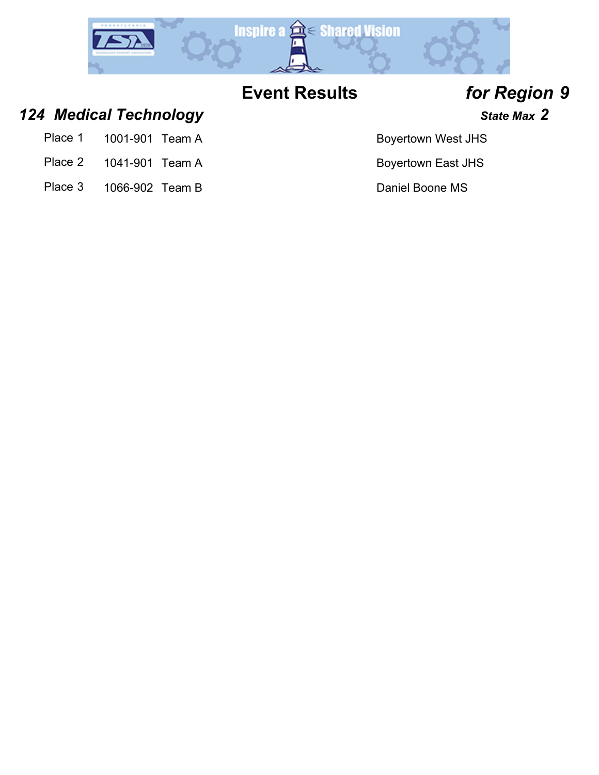

## *124 Medical Technology State Max 2*

- Place 1 1001-901 Team A Boyertown West JHS
- Place 2 1041-901 Team A Boyertown East JHS
- Place 3 1066-902 Team B Daniel Boone MS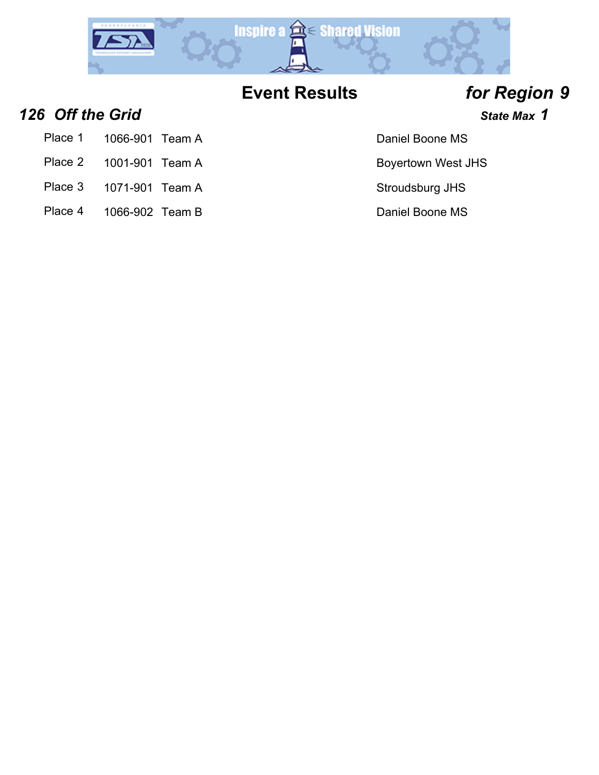

### **126 Off the Grid 126 Off the Grid** *n***<sub>1</sub>**  $\frac{1}{2}$  **<b>***State Max* **1**

- Place 1 1066-901 Team A Daniel Boone MS
- Place 2 1001-901 Team A Boyertown West JHS
- Place 3 1071-901 Team A Stroudsburg JHS
- Place 4 1066-902 Team B Daniel Boone MS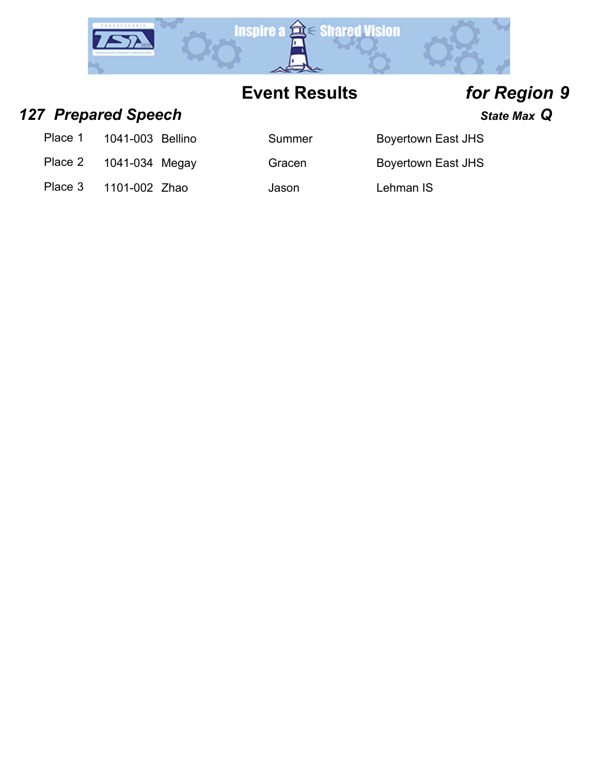

### *127 Prepared Speech State Max Q*

| Place 1<br>1041-003 Bellino |  |
|-----------------------------|--|
|-----------------------------|--|

- Place 2 1041-034 Megay Gracen Boyertown East JHS
- Place 3 1101-002 Zhao Jason Lehman IS

Summer Boyertown East JHS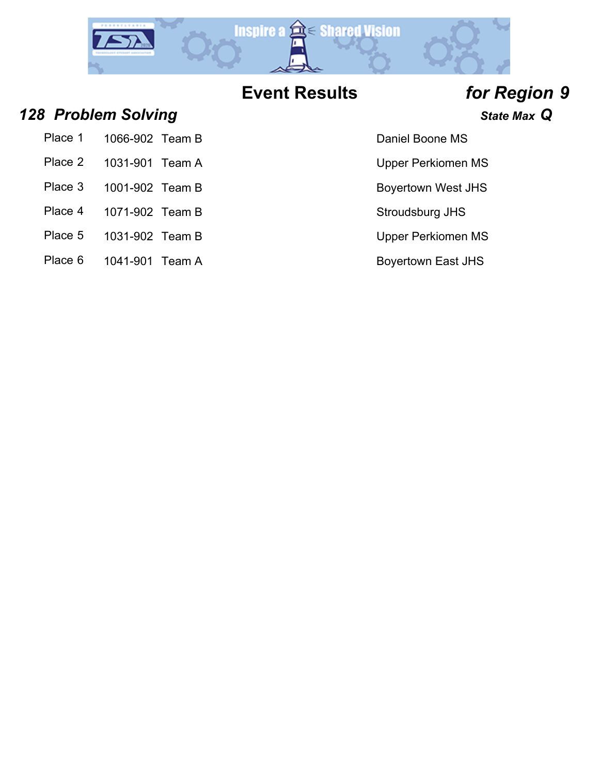

### *128 Problem Solving State Max Q*

| Place 1 | 1066-902 Team B |  |
|---------|-----------------|--|
|         |                 |  |

- Place 2 1031-901 Team A Upper Perkiomen MS
- Place 3 1001-902 Team B Boyertown West JHS
- 
- 
- Place 5 1031-902 Team B Upper Perkiomen MS
- Place 6 1041-901 Team A Boyertown East JHS

### Daniel Boone MS

- 
- 
- Place 4 1071-902 Team B Stroudsburg JHS
	-
	-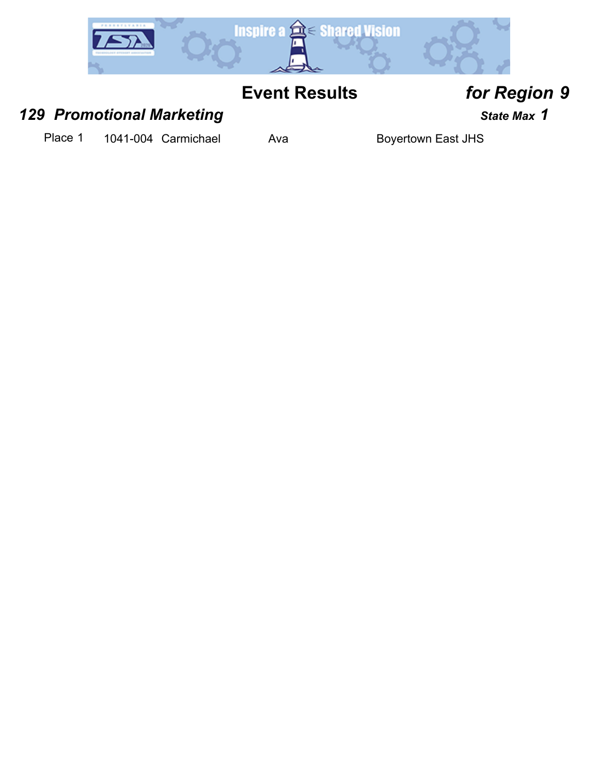

### *129 Promotional Marketing State Max 1*

Place 1 1041-004 Carmichael Ava Boyertown East JHS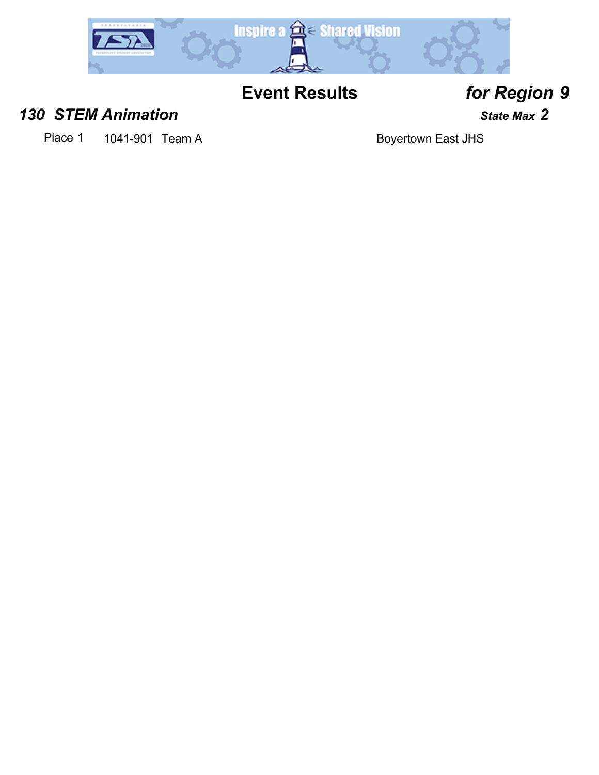

### *130 STEM Animation State Max 2*

Place 1 1041-901 Team A Boyertown East JHS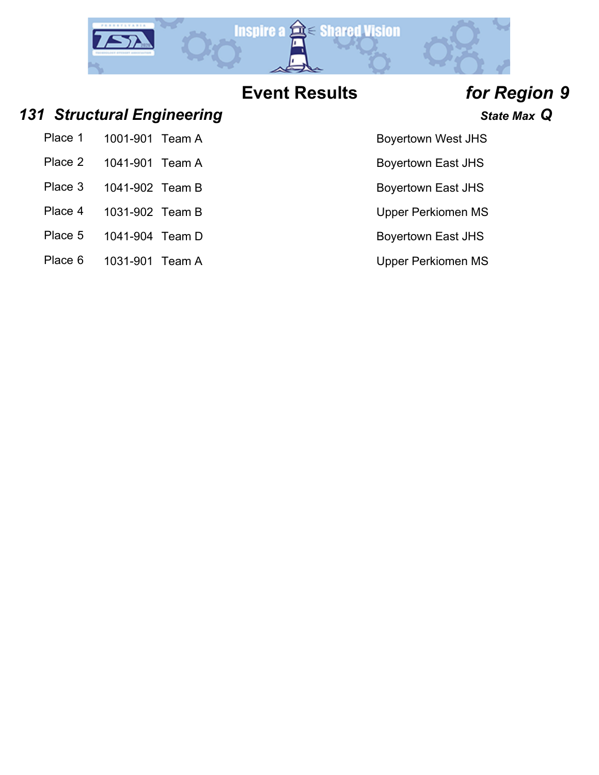

### *131 Structural Engineering State Max Q*

| Place 1 | 1001-901 Team A |  |
|---------|-----------------|--|
| Place 2 | 1041-901 Team A |  |

- Place 3 1041-902 Team B Boyertown East JHS
- Place 4 1031-902 Team B Upper Perkiomen MS
- Place 5 1041-904 Team D Boyertown East JHS
- Place 6 1031-901 Team A Version Communication Communication Communication Communication Communication Communication Communication Communication Communication Communication Communication Communication Communication Communic

- Boyertown West JHS
- Boyertown East JHS
- 
- 
- 
-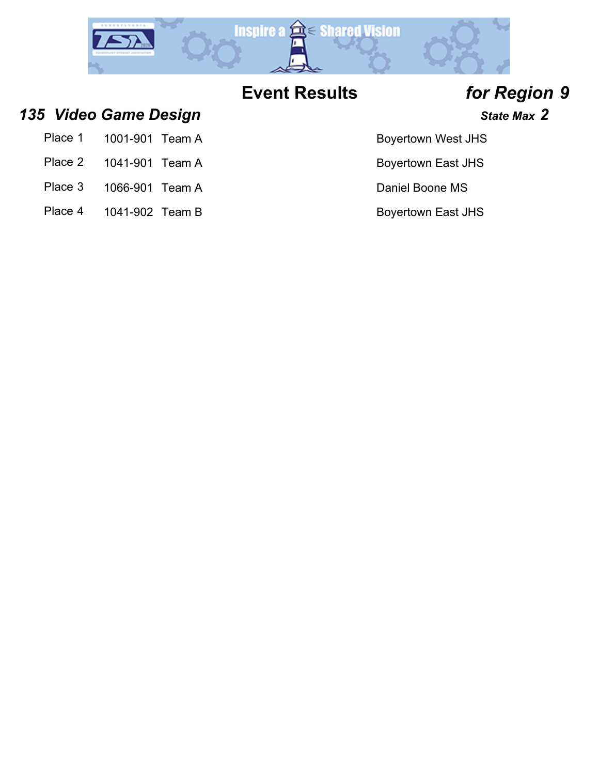

- *135 Video Game Design State Max 2*
	- Place 1 1001-901 Team A Boyertown West JHS
	- Place 2 1041-901 Team A Boyertown East JHS
	- Place 3 1066-901 Team A Daniel Boone MS
	- Place 4 1041-902 Team B Boyertown East JHS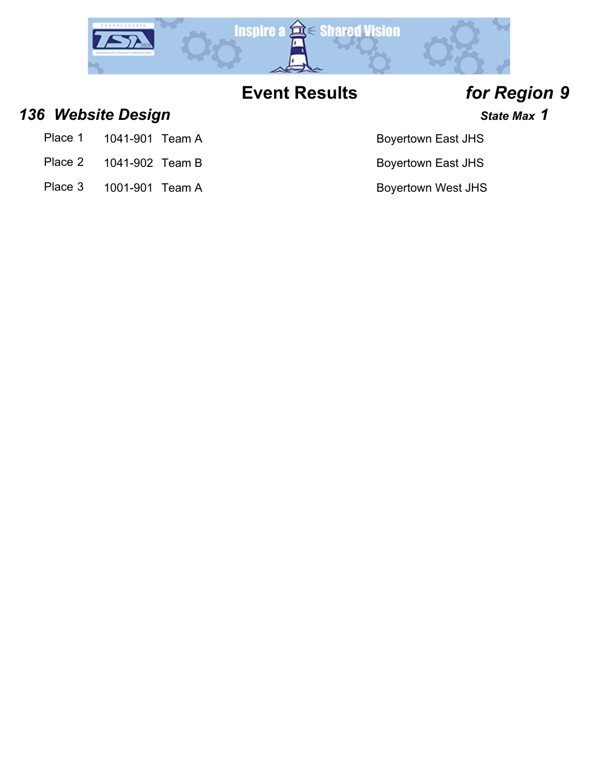

## *136 Website Design State Max 1*

- Place 1 1041-901 Team A Boyertown East JHS
- Place 2 1041-902 Team B Boyertown East JHS
- Place 3 1001-901 Team A Boyertown West JHS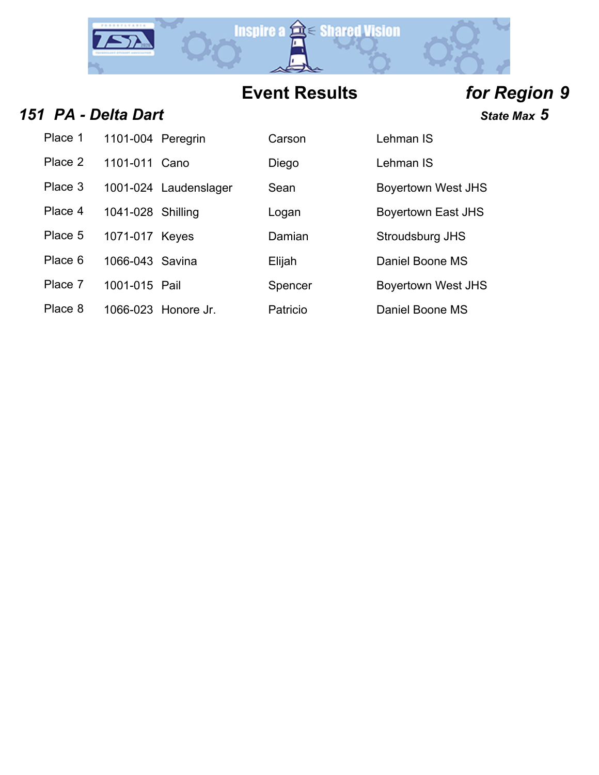

## **151 PA - Delta Dart State Max 5**

| .                          |        |                   |
|----------------------------|--------|-------------------|
| Place 1 1101-004 Peregrin  | Carson | Lehman IS         |
| $Planca 2 - 1101 011$ Cano | Diogo. | $I$ ohman $I$ $C$ |

|         |                       | - - - - |                           |
|---------|-----------------------|---------|---------------------------|
| Place 3 | 1001-024 Laudenslager | Sean    | <b>Boyertown West JHS</b> |

- 
- Place 5 1071-017 Keyes Damian Stroudsburg JHS
- Place 6 1066-043 Savina **Elijah** Elijah Daniel Boone MS
- 
- Place 8 1066-023 Honore Jr. Patricio Daniel Boone MS
- 
- 
- -
- 
- 
- Place 2 1101-011 Cano Diego Lehman IS
	-
- Place 4 1041-028 Shilling Logan boyertown East JHS
	-
	-
- Place 7 1001-015 Pail Spencer Boyertown West JHS
	-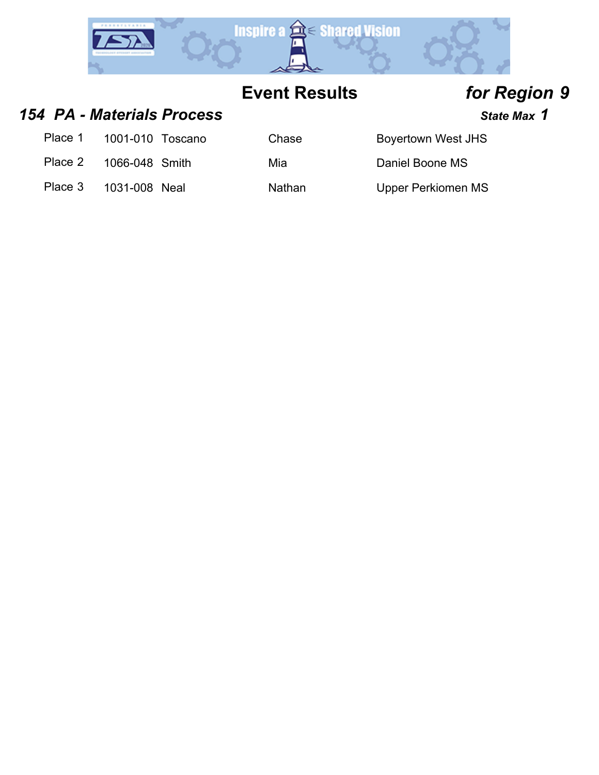

### *154 PA - Materials Process State Max 1*

Place 1 1001-010 Toscano Chase Boyertown West JHS

Place 2 1066-048 Smith Mia Mia Daniel Boone MS

Place 3 1031-008 Neal Nathan Upper Perkiomen MS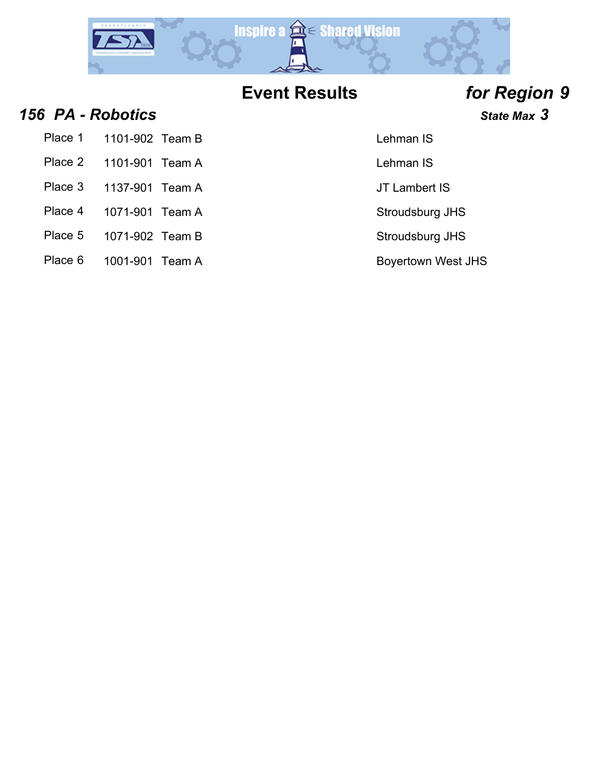

### *156 PA - Robotics State Max 3*

| Place 1 | 1101-902 Team B |  |
|---------|-----------------|--|
|---------|-----------------|--|

- Place 2 1101-901 Team A Lehman IS
- Place 3 1137-901 Team A JT Lambert IS
- 
- 
- Place 5 1071-902 Team B Stroudsburg JHS
- Place 6 1001-901 Team A Boyertown West JHS

### Lehman IS

Place 4 1071-901 Team A Stroudsburg JHS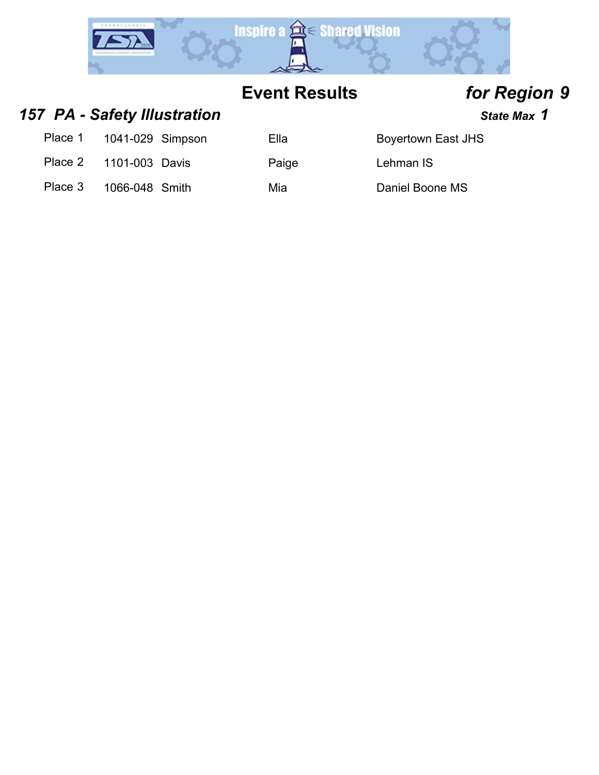

### 157 PA - Safety Illustration *All State Max* 1

| Place 1 | 1041-029 Simpson |  |
|---------|------------------|--|
|---------|------------------|--|

Place 2 1101-003 Davis Paige Lehman IS

Ella Boyertown East JHS

Place 3 1066-048 Smith Mia Mia Daniel Boone MS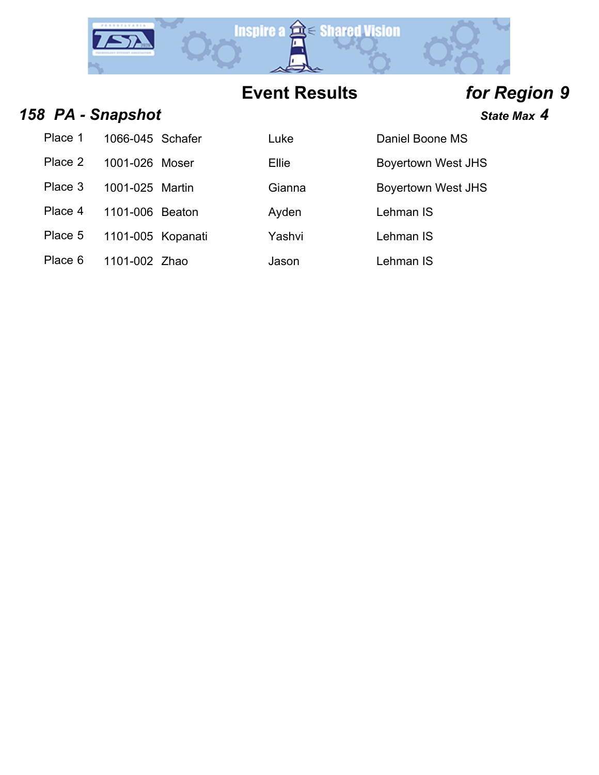

## *158 PA - Snapshot State Max 4*

| Place 1 | 1066-045 Schafer  | Luke   | Daniel Boo       |
|---------|-------------------|--------|------------------|
| Place 2 | 1001-026 Moser    | Ellie  | <b>Boyertown</b> |
| Place 3 | 1001-025 Martin   | Gianna | Boyertown        |
| Place 4 | 1101-006 Beaton   | Ayden  | Lehman IS        |
| Place 5 | 1101-005 Kopanati | Yashvi | Lehman IS        |
| Place 6 | 1101-002 Zhao     | Jason  | Lehman IS        |

| Place 1 | 1066-045 Schafer  | Luke   | Daniel Boone MS           |
|---------|-------------------|--------|---------------------------|
| Place 2 | 1001-026 Moser    | Ellie  | <b>Boyertown West JHS</b> |
| Place 3 | 1001-025 Martin   | Gianna | <b>Boyertown West JHS</b> |
| Place 4 | 1101-006 Beaton   | Ayden  | Lehman IS                 |
| Place 5 | 1101-005 Kopanati | Yashvi | Lehman IS                 |
| Place 6 | 1101-002 Zhao     | Jason  | Lehman IS                 |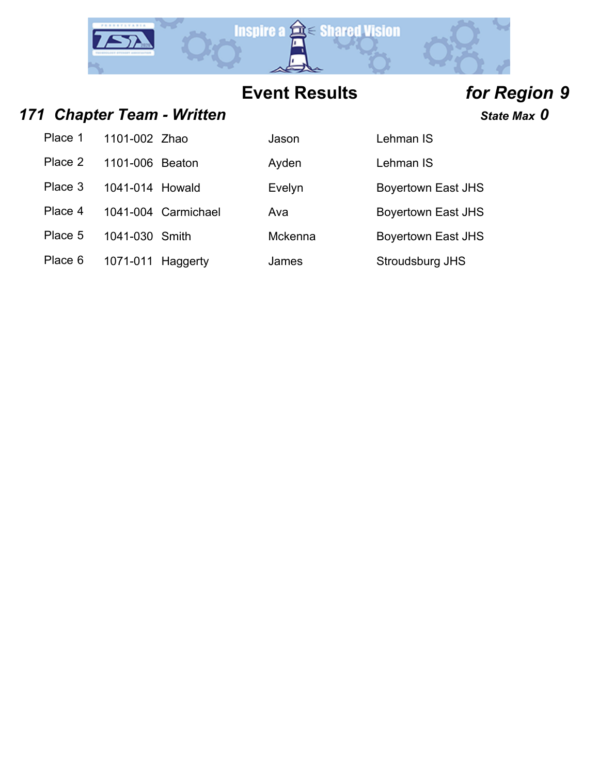

### *171 Chapter Team - Written State Max 0*

| Place 1 | 1101-002 Zhao   |                     | Jason   | Lehman IS                 |
|---------|-----------------|---------------------|---------|---------------------------|
| Place 2 | 1101-006 Beaton |                     | Ayden   | Lehman IS                 |
| Place 3 | 1041-014 Howald |                     | Evelyn  | Boyertown East JHS        |
| Place 4 |                 | 1041-004 Carmichael | Ava     | <b>Boyertown East JHS</b> |
| Place 5 | 1041-030 Smith  |                     | Mckenna | <b>Boyertown East JHS</b> |

Place 6 1071-011 Haggerty James Stroudsburg JHS

| son    | Lehman IS   |
|--------|-------------|
| den    | Lehman IS   |
| elyn   | Boyertown   |
| а      | Boyertown   |
| :kenna | Boyertown   |
| mes    | Stroudshurg |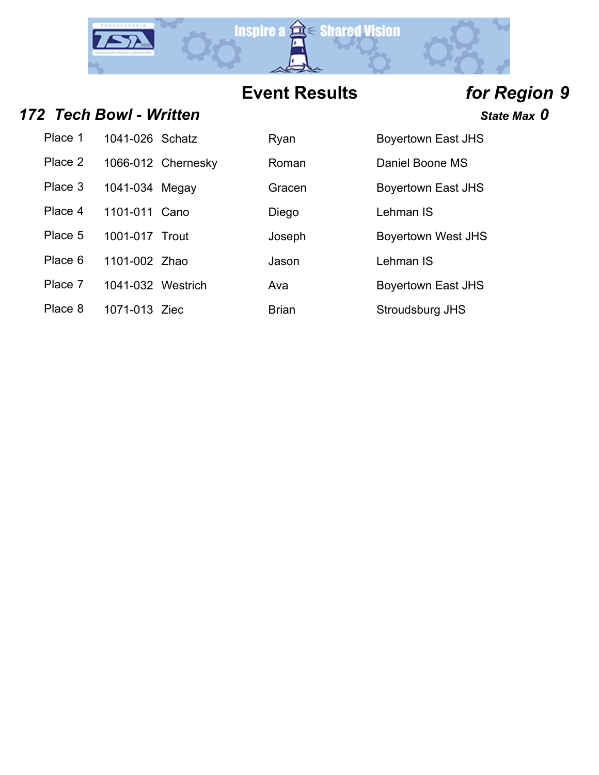

### *172 Tech Bowl - Written State Max 0*

| Place 1          | 1041-026 Schatz | Ryan | <b>Boyertown East JHS</b> |
|------------------|-----------------|------|---------------------------|
| D <sub>max</sub> |                 |      | <b>D. J.ID. 110</b>       |

- 
- 
- Place 4 1101-011 Cano Diego Lehman IS
- Place 5 1001-017 Trout Joseph Boyertown West JHS
- Place 6 1101-002 Zhao Jason Lehman IS
- Place 7 1041-032 Westrich Ava Boyertown East JHS
- Place 8 1071-013 Ziec Brian Brian Stroudsburg JHS
- 
- 
- 
- -
- Place 2 1066-012 Chernesky Roman Daniel Boone MS Place 3 1041-034 Megay Gracen Boyertown East JHS
	-
	- -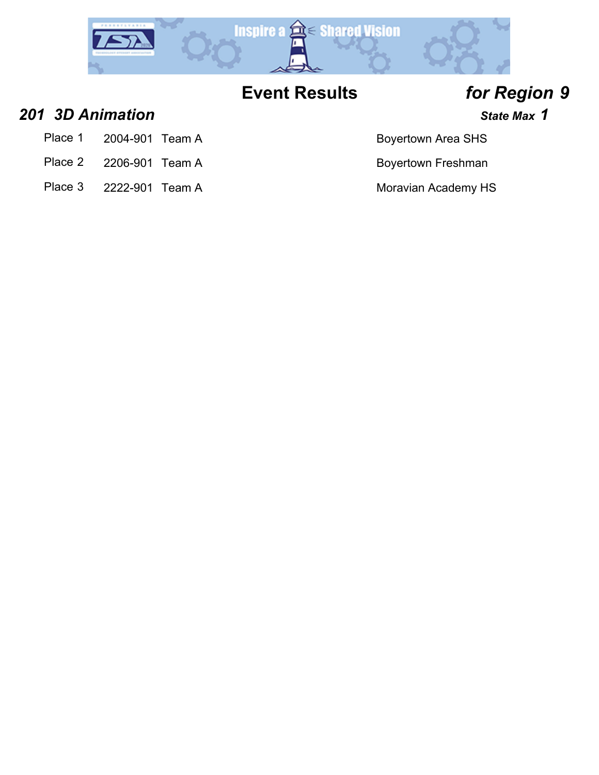

### *201 3D Animation State Max 1*

- Place 1 2004-901 Team A Boyertown Area SHS
- Place 2 2206-901 Team A Boyertown Freshman
- Place 3 2222-901 Team A Moravian Academy HS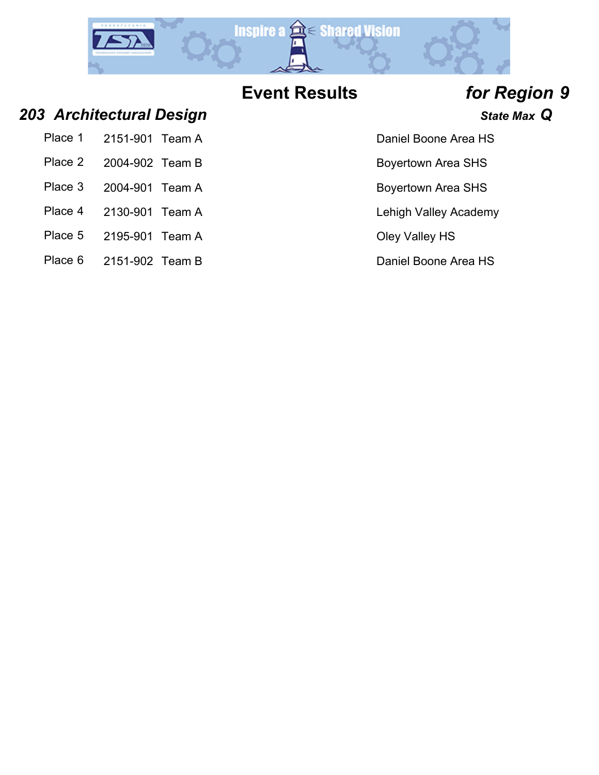

### *203 Architectural Design State Max Q*

| Place 1 | 2151-901 Team A |  |
|---------|-----------------|--|
| Place 2 | 2004-902 Team B |  |

- Place 3 2004-901 Team A Boyertown Area SHS
- Place 4 2130-901 Team A Lehigh Valley Academy
- Place 5 2195-901 Team A Cley Valley HS
- Place 6 2151-902 Team B Daniel Boone Area HS

- Daniel Boone Area HS
- Boyertown Area SHS
- 
- 
- 
-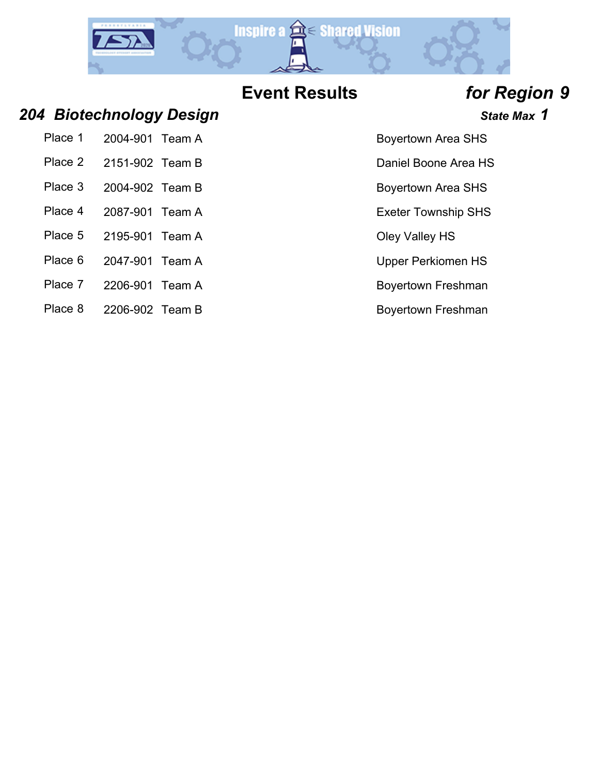

### *204 Biotechnology Design State Max 1*

| Place 1 | 2004-901 Team A |  |
|---------|-----------------|--|
|         |                 |  |

- Place 2 2151-902 Team B Daniel Boone Area HS
- Place 3 2004-902 Team B Boyertown Area SHS
- Place 4 2087-901 Team A Exeter Township SHS
- Place 5 2195-901 Team A Cley Valley HS
- Place 6 2047-901 Team A Upper Perkiomen HS
- Place 7 2206-901 Team A Boyertown Freshman
- Place 8 2206-902 Team B Boyertown Freshman

- Boyertown Area SHS
- 
- 
- 
- 
- 
- 
-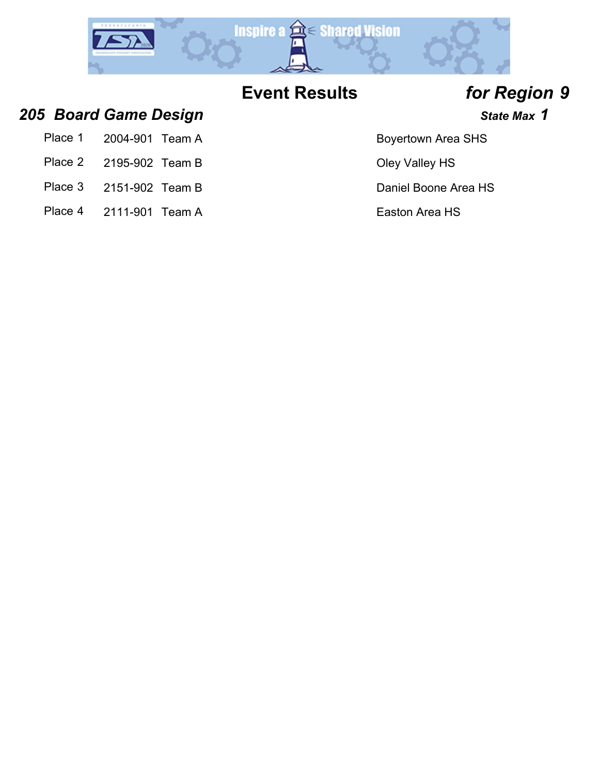

Boyertown Area SHS

### *205 Board Game Design State Max 1*

| Place 1 | 2004-901 Team A |  |
|---------|-----------------|--|
|         |                 |  |

- Place 2 2195-902 Team B Oley Valley HS
- Place 3 2151-902 Team B Daniel Boone Area HS
- Place 4 2111-901 Team A Easton Area HS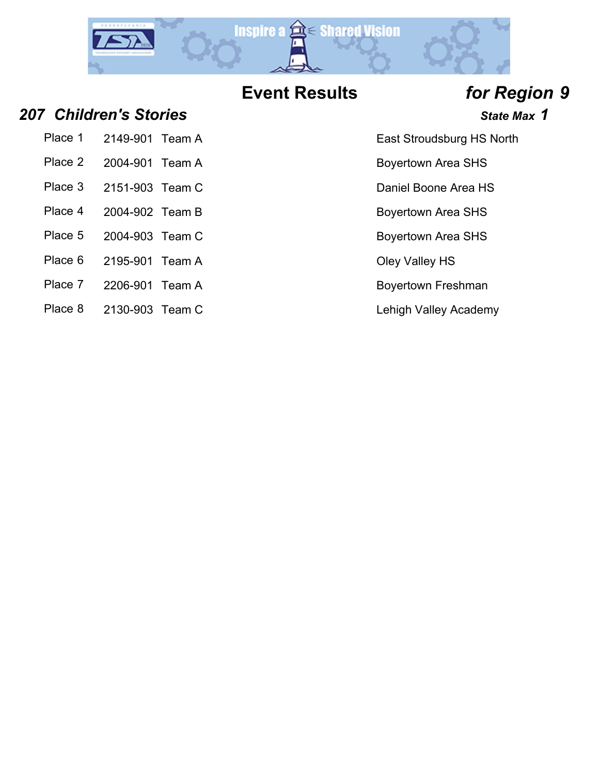

Place 5 2004-903 Team C Boyertown Area SHS

### *207 Children's Stories State Max 1*

Place 1 2149-901 Team A East Stroudsburg HS North

- Place 2 2004-901 Team A Boyertown Area SHS
- Place 3 2151-903 Team C Daniel Boone Area HS
- Place 4 2004-902 Team B Boyertown Area SHS
- 
- Place 6 2195-901 Team A Cley Valley HS
- Place 7 2206-901 Team A Boyertown Freshman
- Place 8 2130-903 Team C Lehigh Valley Academy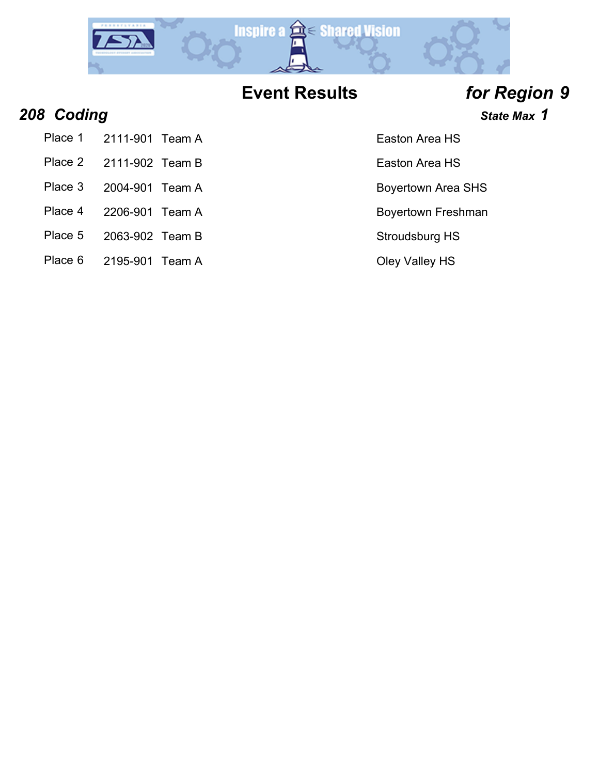

## **208 Coding State Max 1**

- Place 1 2111-901 Team A Easton Area HS
- Place 2 2111-902 Team B Easton Area HS
- Place 3 2004-901 Team A Boyertown Area SHS
- 
- 
- Place 5 2063-902 Team B Stroudsburg HS
- Place 6 2195-901 Team A Cley Valley HS
- 
- 
- 
- Place 4 2206-901 Team A Boyertown Freshman
	-
	-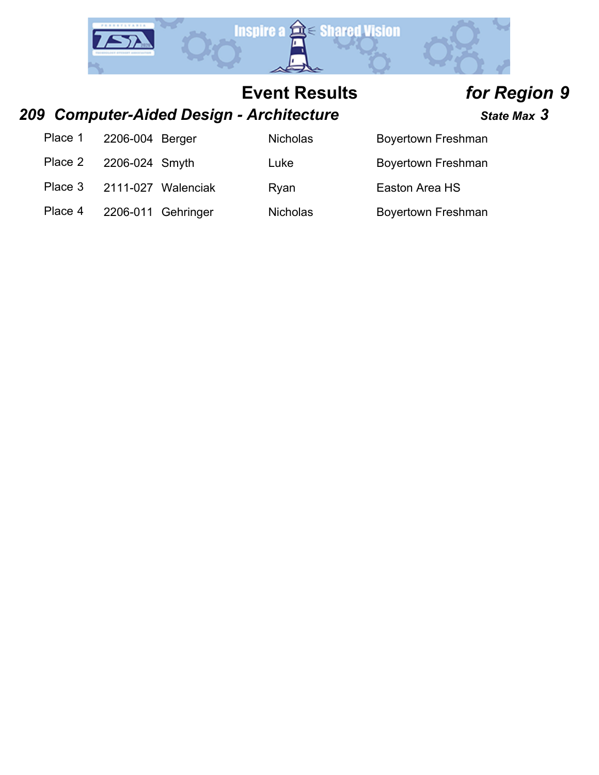

### *209 Computer-Aided Design - Architecture State Max 3*

Place 1 2206-004 Be

Place 2 2206-024 Sn

Place 3 2111-027 Wa

Place 4 2206-011 Ge

| erger    | <b>Nicholas</b> | Boyertown Freshman |
|----------|-----------------|--------------------|
| nyth     | Luke            | Boyertown Freshman |
| alenciak | Ryan            | Easton Area HS     |
| ehringer | <b>Nicholas</b> | Boyertown Freshman |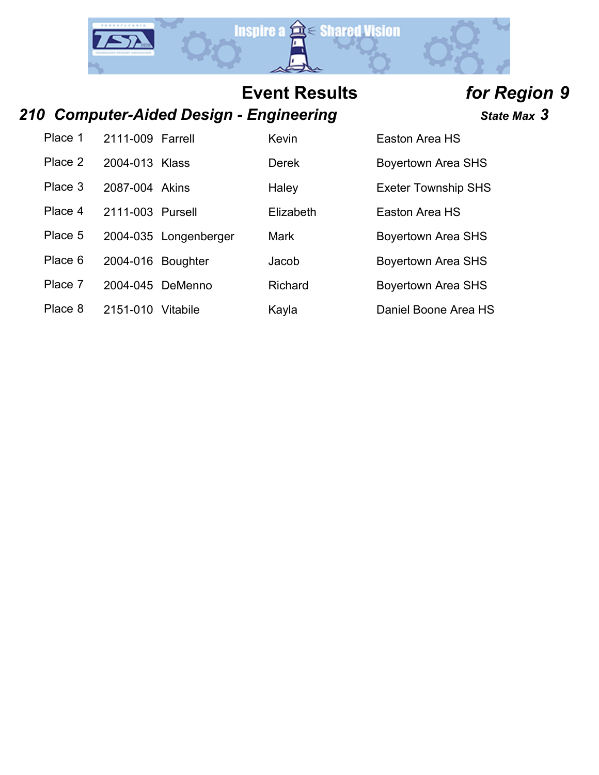

## *210 Computer-Aided Design - Engineering State Max 3*

| Place 1 | 2111-009 Farrell  |                       | Kevin        | Easton Area HS             |
|---------|-------------------|-----------------------|--------------|----------------------------|
| Place 2 | 2004-013 Klass    |                       | <b>Derek</b> | <b>Boyertown Area SHS</b>  |
| Place 3 | 2087-004 Akins    |                       | Haley        | <b>Exeter Township SHS</b> |
| Place 4 | 2111-003 Pursell  |                       | Elizabeth    | Easton Area HS             |
| Place 5 |                   | 2004-035 Longenberger | Mark         | <b>Boyertown Area SHS</b>  |
| Place 6 | 2004-016 Boughter |                       | Jacob        | <b>Boyertown Area SHS</b>  |
| Place 7 |                   | 2004-045 DeMenno      | Richard      | <b>Boyertown Area SHS</b>  |
| Place 8 | 2151-010          | Vitabile              | Kayla        | Daniel Boone Area HS       |
|         |                   |                       |              |                            |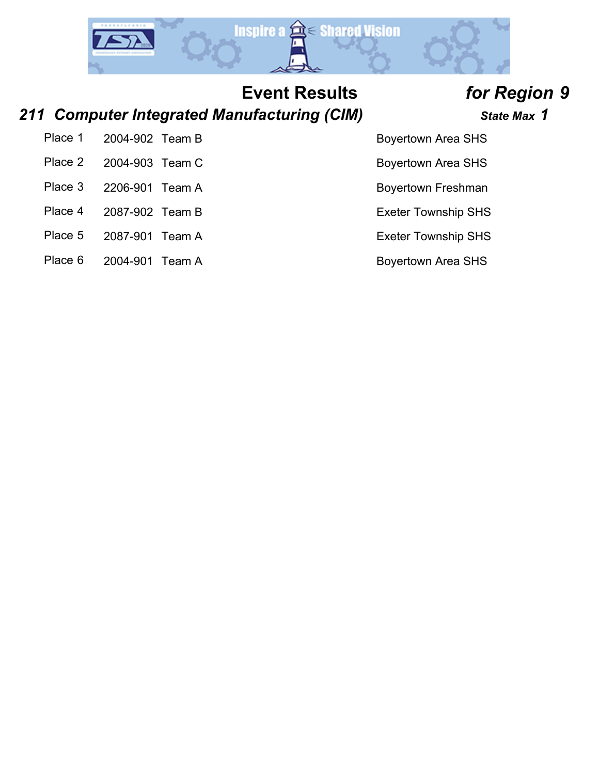

## *211 Computer Integrated Manufacturing (CIM) State Max 1*

| Place 1 2004-902 Team B            |  |
|------------------------------------|--|
| Place 2 2004-903 Team C            |  |
| $D _{QQQ}$ $Q$ $QQQQ$ $QQ$ $T_{z}$ |  |

- 
- Place 4 2087-902 Team B Exeter Township SHS
- Place 5 2087-901 Team A Exeter Township SHS
- Place 6 2004-901 Team A Boyertown Area SHS

- Boyertown Area SHS
- Boyertown Area SHS

Place 3 2206-901 Team A Boyertown Freshman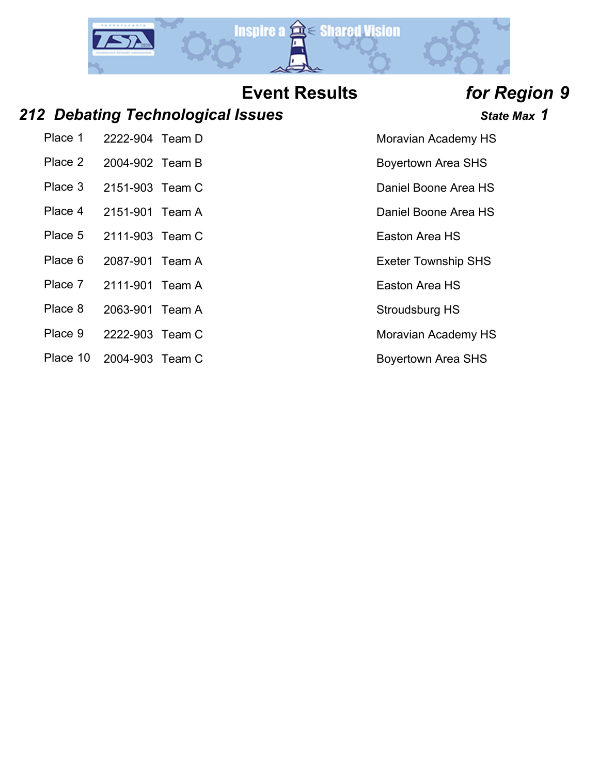

### *212 Debating Technological Issues State Max 1*

- Place 1 2222-904 Team D Moravian Academy HS
- 
- 
- 
- Place 5 2111-903 Team C Easton Area HS
- Place 6 2087-901 Team A Exeter Township SHS
- Place 7 2111-901 Team A Easton Area HS
- Place 8 2063-901 Team A Stroudsburg HS
- Place 9 2222-903 Team C Moravian Academy HS
- Place 10 2004-903 Team C Boyertown Area SHS

- 
- Place 2 2004-902 Team B Boyertown Area SHS
- Place 3 2151-903 Team C Daniel Boone Area HS
- Place 4 2151-901 Team A Daniel Boone Area HS
	-
	-
	-
	-
	-
	-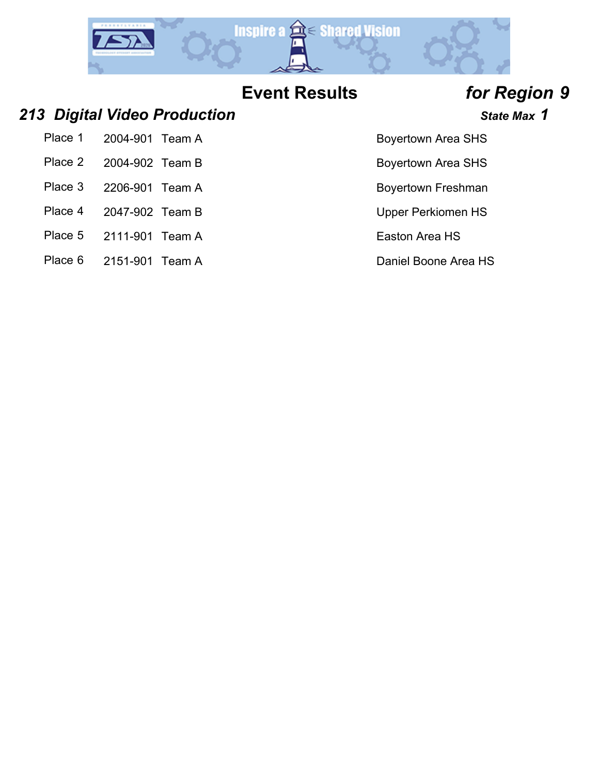

### *213 Digital Video Production State Max 1*

| Place 1 | 2004-901 Team A |  |
|---------|-----------------|--|
|         |                 |  |

- Place 2 2004-902 Team B Boyertown Area SHS
- Place 3 2206-901 Team A Boyertown Freshman
- Place 4 2047-902 Team B Upper Perkiomen HS
- Place 5 2111-901 Team A Easton Area HS
- Place 6 2151-901 Team A Daniel Boone Area HS

- Boyertown Area SHS
- 
- 
- 
- 
-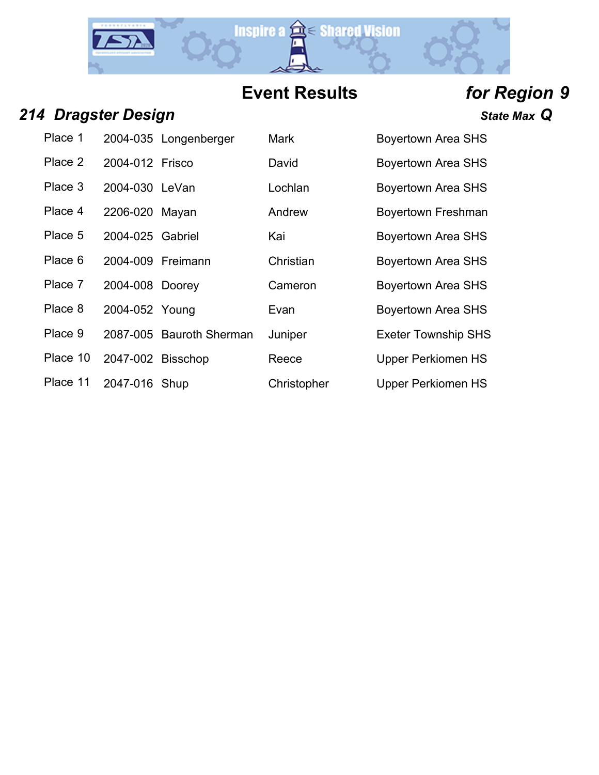

### *214 Dragster Design State Max Q*

| Place 1  |                   | 2004-035 Longenberger    | <b>Mark</b> | <b>Boyertown Area SHS</b>  |
|----------|-------------------|--------------------------|-------------|----------------------------|
| Place 2  | 2004-012 Frisco   |                          | David       | <b>Boyertown Area SHS</b>  |
| Place 3  | 2004-030 LeVan    |                          | Lochlan     | <b>Boyertown Area SHS</b>  |
| Place 4  | 2206-020 Mayan    |                          | Andrew      | <b>Boyertown Freshman</b>  |
| Place 5  | 2004-025 Gabriel  |                          | Kai         | <b>Boyertown Area SHS</b>  |
| Place 6  | 2004-009 Freimann |                          | Christian   | <b>Boyertown Area SHS</b>  |
| Place 7  | 2004-008 Doorey   |                          | Cameron     | <b>Boyertown Area SHS</b>  |
| Place 8  | 2004-052 Young    |                          | Evan        | <b>Boyertown Area SHS</b>  |
| Place 9  |                   | 2087-005 Bauroth Sherman | Juniper     | <b>Exeter Township SHS</b> |
| Place 10 | 2047-002 Bisschop |                          | Reece       | <b>Upper Perkiomen HS</b>  |
| Place 11 | 2047-016 Shup     |                          | Christopher | Upper Perkiomen HS         |
|          |                   |                          |             |                            |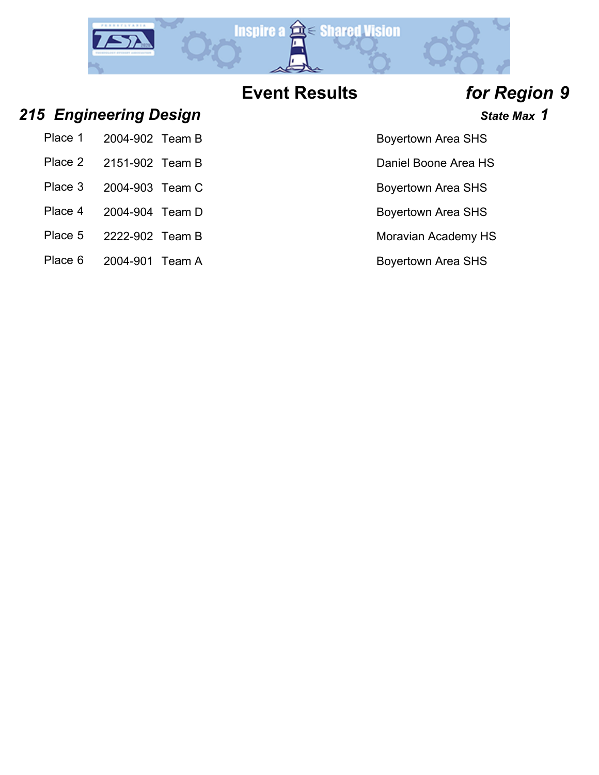

- Boyertown Area SHS
- Daniel Boone Area HS
- Boyertown Area SHS
- Boyertown Area SHS
- 
- 

### *215 Engineering Design State Max 1*

| Place 1 | 2004-902 Team B         |  |
|---------|-------------------------|--|
|         | Place 2 2151-902 Team B |  |
|         | Place 3 2004-903 Team C |  |
| Place 4 | 2004-904 Team D         |  |

- Place 5 2222-902 Team B Moravian Academy HS
- Place 6 2004-901 Team A Boyertown Area SHS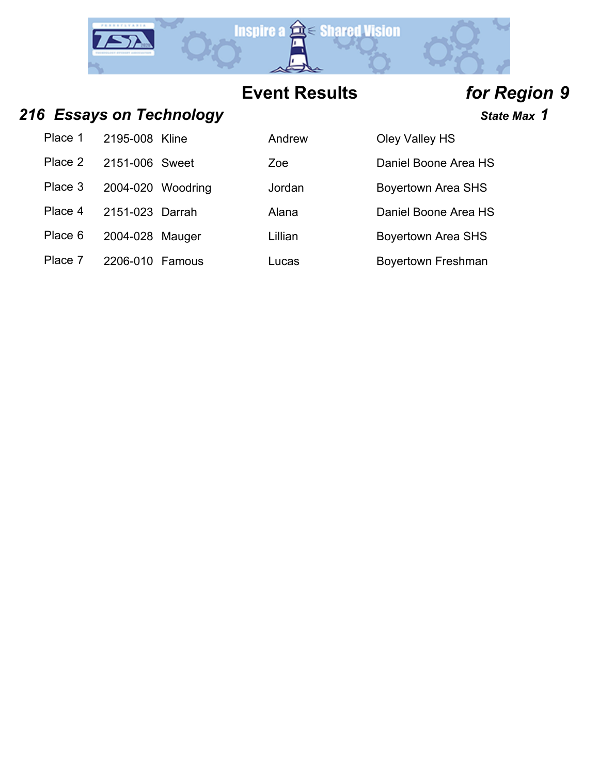

### 216 **Essays on Technology State Max 1** State Max 1

| Place 1                | 2195-008 Kline    | Andrew  | Oley Valley HS        |
|------------------------|-------------------|---------|-----------------------|
| Place 2 2151-006 Sweet |                   | Zoe     | Daniel Boone A        |
| Place 3                | 2004-020 Woodring | Jordan  | <b>Boyertown Area</b> |
| Place 4                | 2151-023 Darrah   | Alana   | Daniel Boone A        |
| Place 6                | 2004-028 Mauger   | Lillian | Boyertown Area        |
|                        |                   |         |                       |

Place 7 2206-010 Famous Lucas Lucas Boyertown Freshman

| Place 1 | 2195-008 Kline    | Andrew  | Oley Valley HS            |
|---------|-------------------|---------|---------------------------|
| Place 2 | 2151-006 Sweet    | Zoe     | Daniel Boone Area HS      |
| Place 3 | 2004-020 Woodring | Jordan  | <b>Boyertown Area SHS</b> |
| Place 4 | 2151-023 Darrah   | Alana   | Daniel Boone Area HS      |
| Place 6 | 2004-028 Mauger   | Lillian | <b>Boyertown Area SHS</b> |
| Dlace 7 | $2206.010$ Eqmaus | 1.1000  | Dovertown Erochmon        |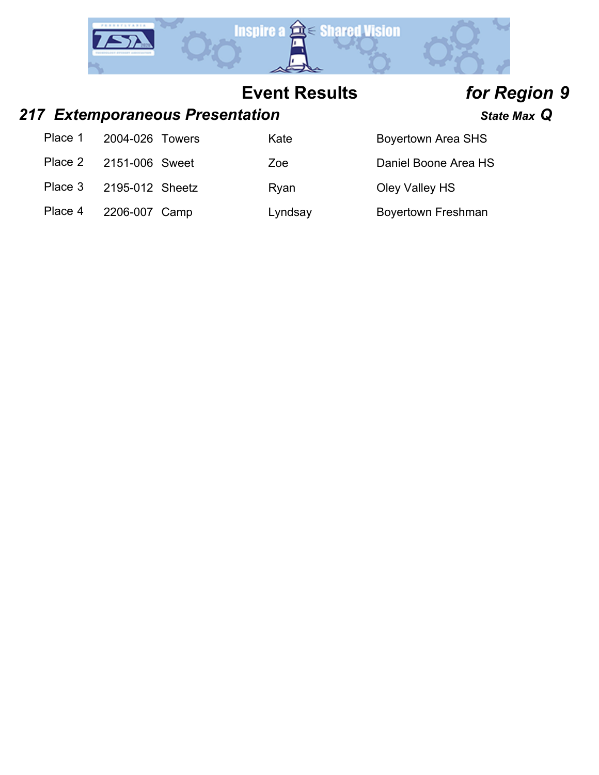

### *217 Extemporaneous Presentation State Max Q*

| Place 1 | 2004-026 Towers | Kate    | Boyertown Area SHS   |
|---------|-----------------|---------|----------------------|
| Place 2 | 2151-006 Sweet  | Zoe     | Daniel Boone Area HS |
| Place 3 | 2195-012 Sheetz | Rvan    | Oley Valley HS       |
| Place 4 | 2206-007 Camp   | Lyndsay | Boyertown Freshman   |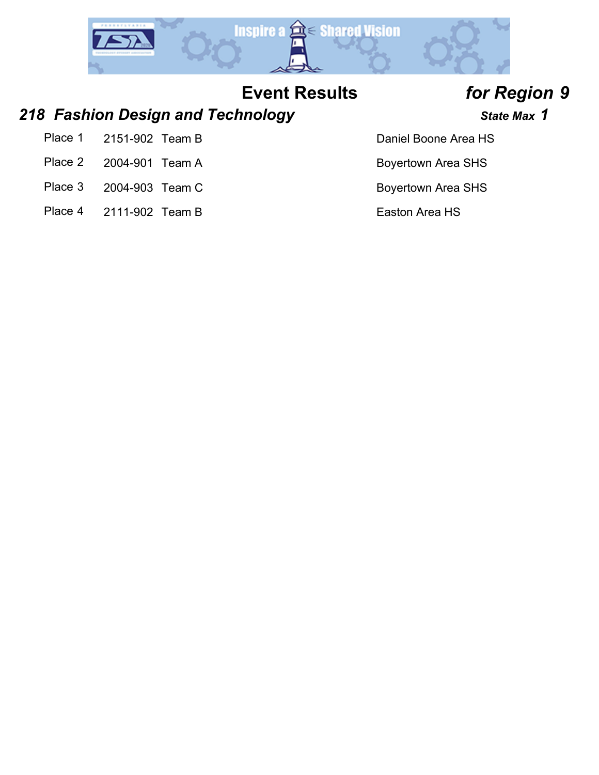

### *218 Fashion Design and Technology State Max 1*

- Place 1 2151-902 Team B Daniel Boone Area HS
- Place 2 2004-901 Team A Boyertown Area SHS
- Place 3 2004-903 Team C Boyertown Area SHS
- Place 4 2111-902 Team B Easton Area HS

- 
- 
- 
-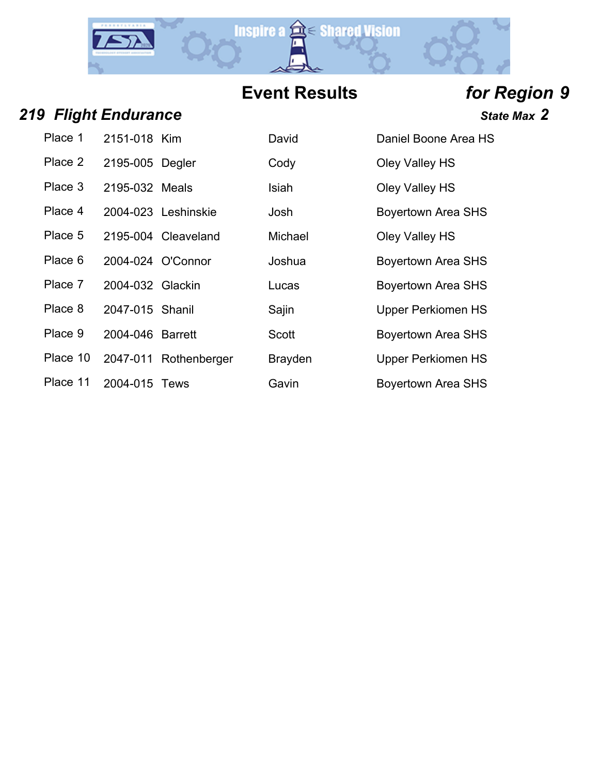

*<i>State Max* **2** 

| <b>219 Flight Endurance</b> |  |
|-----------------------------|--|
|                             |  |

| Place 1  | 2151-018 Kim     |                       | David          | Daniel Boone Area HS      |
|----------|------------------|-----------------------|----------------|---------------------------|
| Place 2  | 2195-005 Degler  |                       | Cody           | Oley Valley HS            |
| Place 3  | 2195-032 Meals   |                       | Isiah          | Oley Valley HS            |
| Place 4  |                  | 2004-023 Leshinskie   | Josh           | <b>Boyertown Area SHS</b> |
| Place 5  |                  | 2195-004 Cleaveland   | Michael        | Oley Valley HS            |
| Place 6  |                  | 2004-024 O'Connor     | Joshua         | <b>Boyertown Area SHS</b> |
| Place 7  | 2004-032 Glackin |                       | Lucas          | <b>Boyertown Area SHS</b> |
| Place 8  | 2047-015 Shanil  |                       | Sajin          | <b>Upper Perkiomen HS</b> |
| Place 9  | 2004-046 Barrett |                       | <b>Scott</b>   | <b>Boyertown Area SHS</b> |
| Place 10 |                  | 2047-011 Rothenberger | <b>Brayden</b> | <b>Upper Perkiomen HS</b> |
| Place 11 | 2004-015 Tews    |                       | Gavin          | <b>Boyertown Area SHS</b> |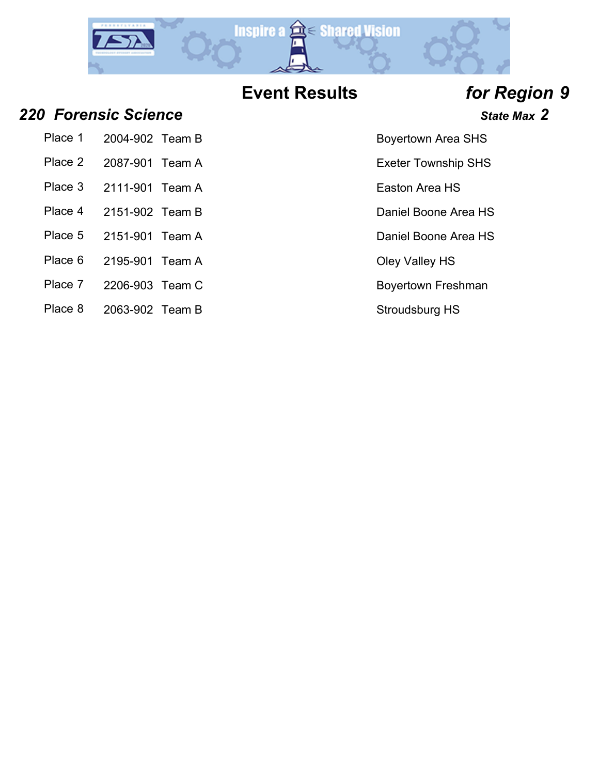

Place 5 2151-901 Team A Daniel Boone Area HS

### *220 Forensic Science State Max 2*

Place 1 2004-902 Team B Boyertown Area SHS

- Place 2 2087-901 Team A Exeter Township SHS
- Place 3 2111-901 Team A Easton Area HS
- Place 4 2151-902 Team B Daniel Boone Area HS
- 
- Place 6 2195-901 Team A Clev Valley HS
- Place 7 2206-903 Team C Boyertown Freshman
- Place 8 2063-902 Team B Stroudsburg HS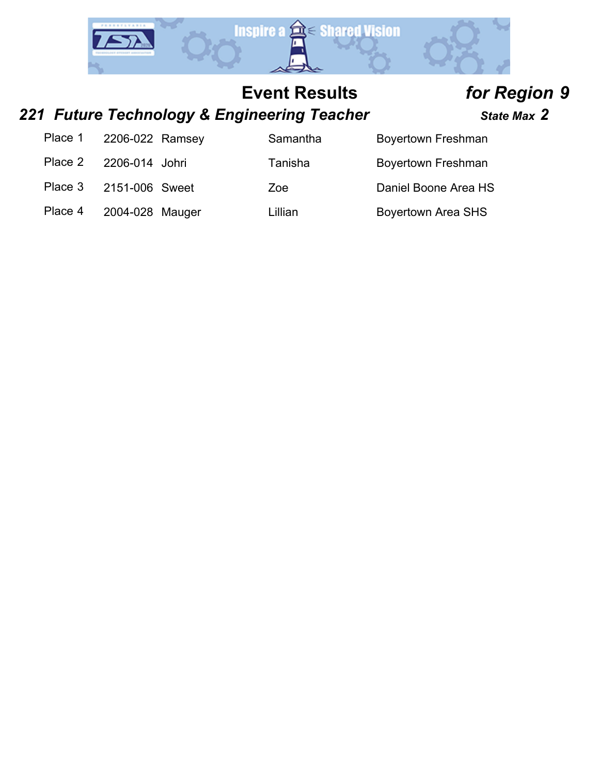

## *221 Future Technology & Engineering Teacher State Max 2*

| Place 1 | 2206-022 Ramsey | Samantha | <b>Boyertown Freshman</b> |
|---------|-----------------|----------|---------------------------|
| Place 2 | 2206-014 Johri  | Tanisha  | Boyertown Freshman        |
| Place 3 | 2151-006 Sweet  | Zoe      | Daniel Boone Area HS      |
| Place 4 | 2004-028 Mauger | Lillian  | <b>Boyertown Area SHS</b> |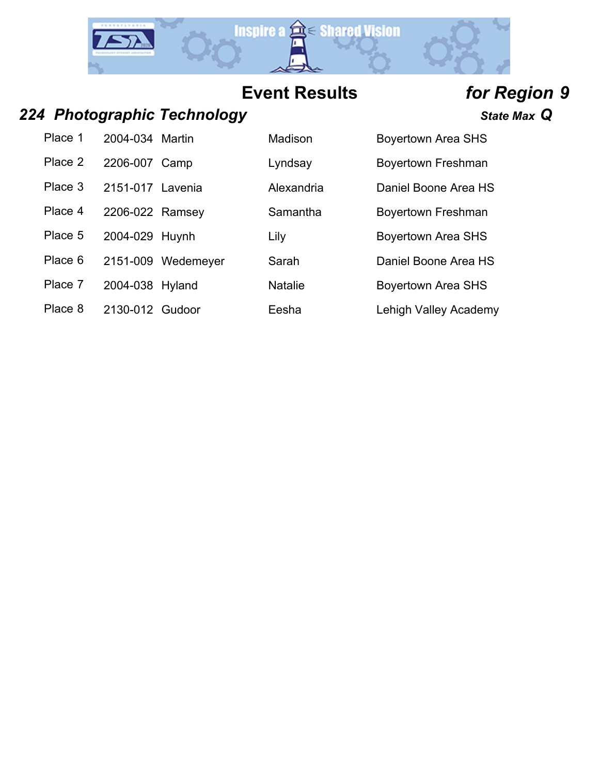

### *224 Photographic Technology State Max Q*

Place 1 2004-034 Martin Madison Boyertown Area SHS Place 2 2206-007 Camp Lyndsay Boyertown Freshman

Place 3 2151-017 Lavenia Alexandria Daniel Boone Area HS

Place 4 2206-022 Ramsey Samantha Boyertown Freshman

Place 5 2004-029 Huynh Lily Lily Boyertown Area SHS

- Place 6 2151-009 Wedemeyer Sarah Daniel Boone Area HS
- 

Place 7 2004-038 Hyland Natalie Boyertown Area SHS

Place 8 2130-012 Gudoor Eesha Lehigh Valley Academy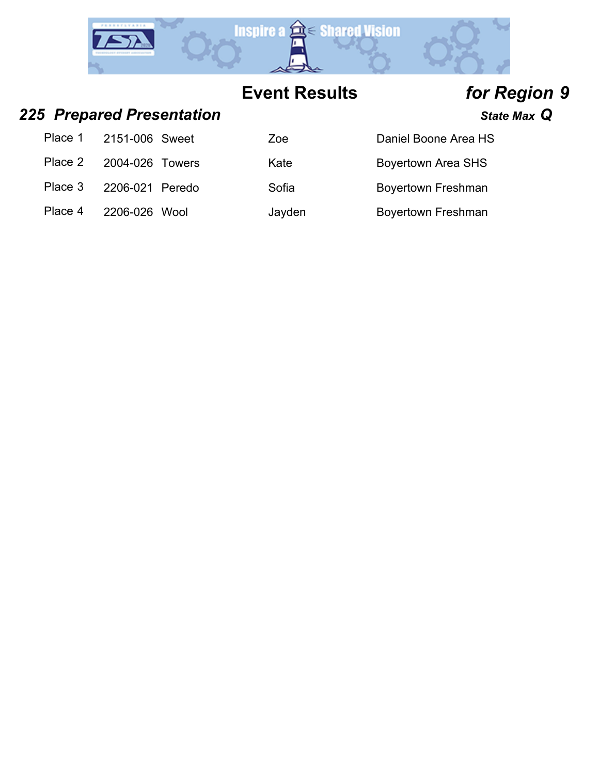

## *225 Prepared Presentation State Max Q*

| Place 1 | 2151-006 Sweet  | Zoe    | Daniel Boone Area HS      |
|---------|-----------------|--------|---------------------------|
| Place 2 | 2004-026 Towers | Kate   | <b>Boyertown Area SHS</b> |
| Place 3 | 2206-021 Peredo | Sofia  | <b>Boyertown Freshman</b> |
| Place 4 | 2206-026 Wool   | Jayden | Boyertown Freshman        |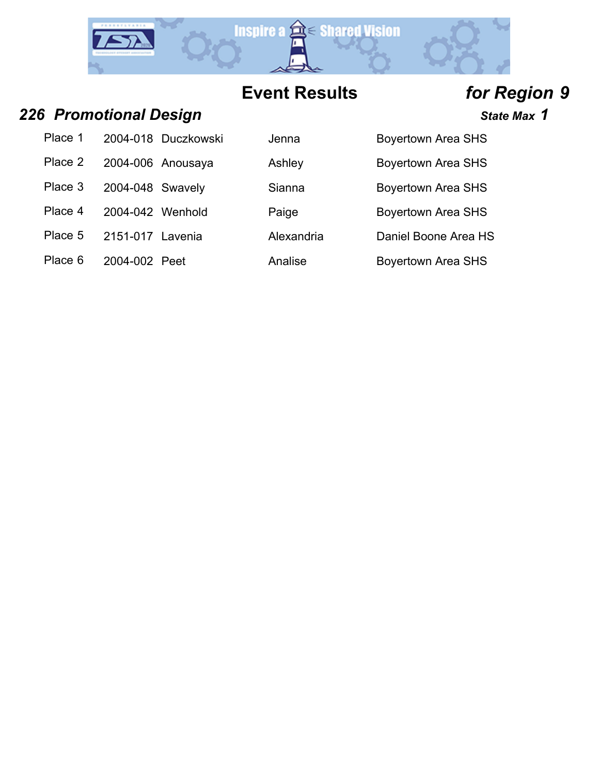

## *226 Promotional Design State Max 1*

| Place 1 |                  | 2004-018 Duczkowski |
|---------|------------------|---------------------|
| Place 2 |                  | 2004-006 Anousaya   |
| Place 3 | 2004-048 Swavely |                     |
| Place 4 | 2004-042 Wenhold |                     |
|         |                  |                     |

| Place 1 |                  | 2004-018 Duczkowski | Jenna      | <b>Boyertown Area SHS</b> |
|---------|------------------|---------------------|------------|---------------------------|
| Place 2 |                  | 2004-006 Anousaya   | Ashley     | <b>Boyertown Area SHS</b> |
| Place 3 | 2004-048 Swavely |                     | Sianna     | <b>Boyertown Area SHS</b> |
| Place 4 | 2004-042 Wenhold |                     | Paige      | <b>Boyertown Area SHS</b> |
| Place 5 | 2151-017         | Lavenia             | Alexandria | Daniel Boone Area HS      |
| Place 6 | 2004-002 Peet    |                     | Analise    | <b>Boyertown Area SHS</b> |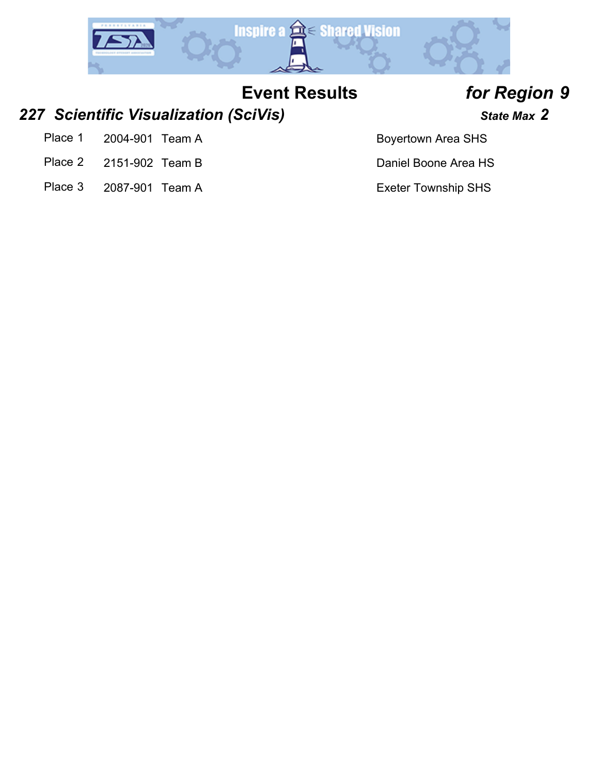

### *227 Scientific Visualization (SciVis) State Max 2*

- Place 1 2004-901 Team A Boyertown Area SHS
- Place 2 2151-902 Team B Daniel Boone Area HS
- Place 3 2087-901 Team A Exeter Township SHS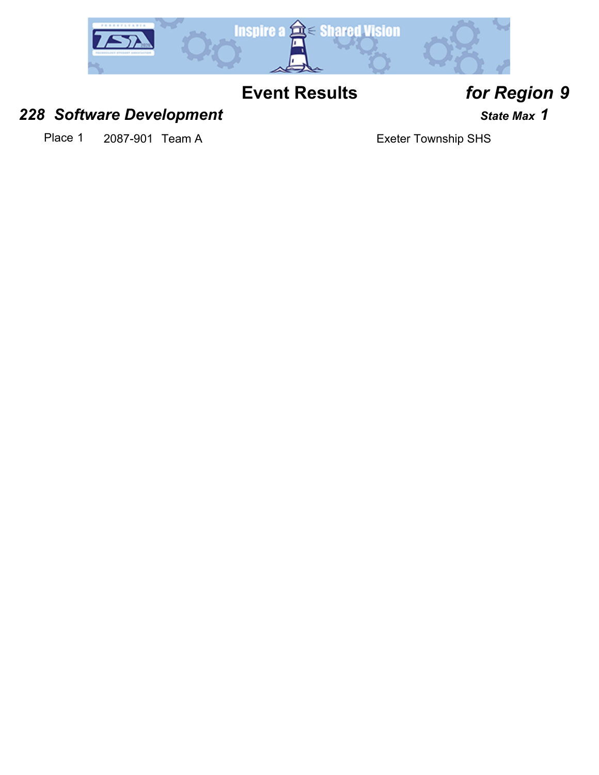

### 228 Software Development *228* Software Development

Place 1 2087-901 Team A Exeter Township SHS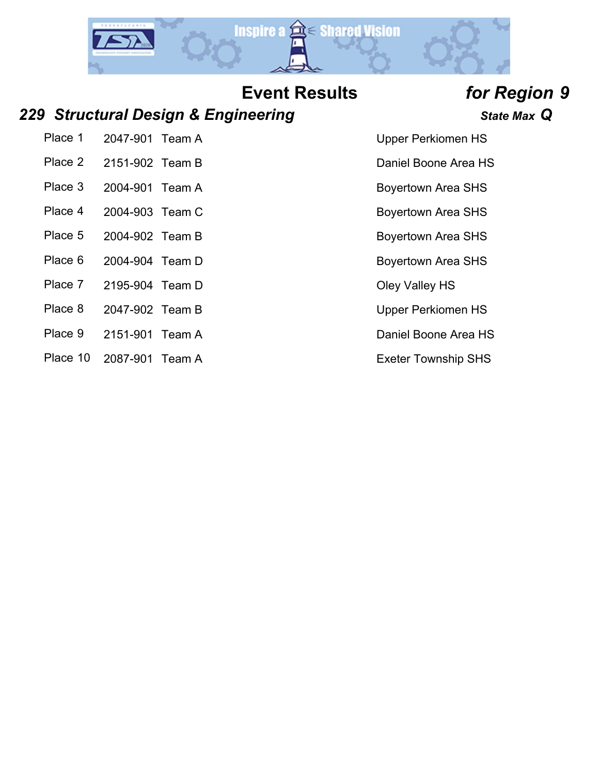

### *229 Structural Design & Engineering State Max Q*

Place 1 2047-901 Team A Upper Perkiomen HS Place 2 2151-902 Team B Daniel Boone Area HS

- Place 3 2004-901 Team A Boyertown Area SHS
- Place 4 2004-903 Team C Boyertown Area SHS
- Place 5 2004-902 Team B Boyertown Area SHS
- Place 6 2004-904 Team D Boyertown Area SHS
- Place 7 2195-904 Team D Oley Valley HS
- Place 8 2047-902 Team B Upper Perkiomen HS
- Place 9 2151-901 Team A Daniel Boone Area HS
- Place 10 2087-901 Team A Exeter Township SHS

- 
- 
- 
- 
- 
- 
- 
- 
- 
-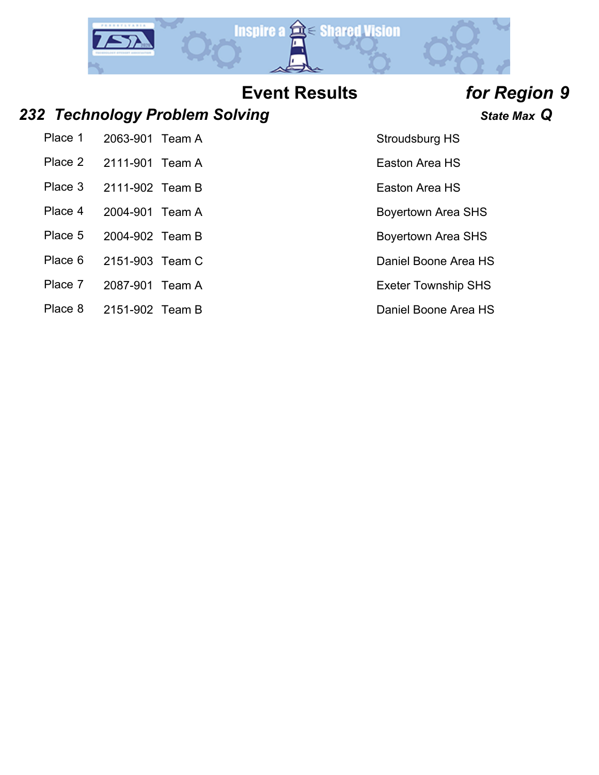

### *232 Technology Problem Solving State Max Q*

Place 1 2063-901 Team A Stroudsburg HS Place 2 2111-901 Team A Easton Area HS

- Place 3 2111-902 Team B Easton Area HS
- Place 4 2004-901 Team A Boyertown Area SHS
- Place 5 2004-902 Team B Boyertown Area SHS
- Place 6 2151-903 Team C Daniel Boone Area HS
- Place 7 2087-901 Team A Exeter Township SHS
- Place 8 2151-902 Team B Daniel Boone Area HS

- 
- 
- 
- 
- 
- 
- 
-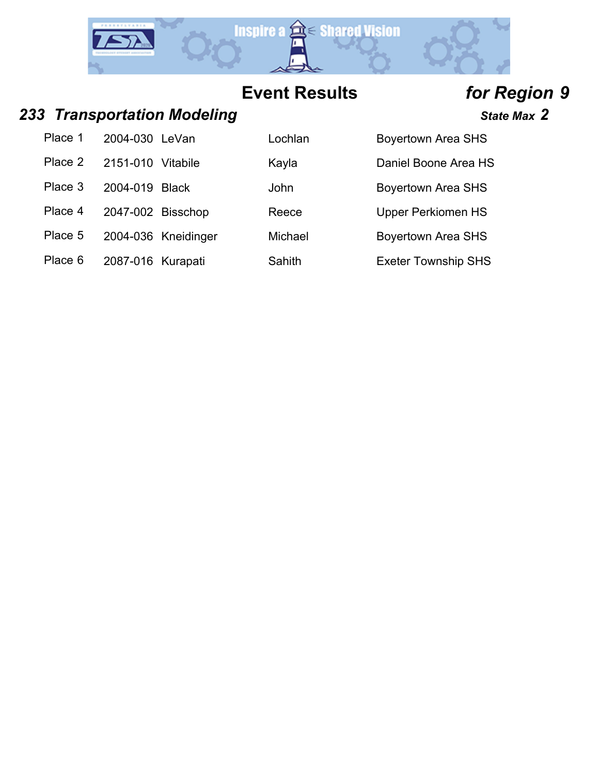

### **233 Transportation Modeling State Max 2** State Max 2

| Place 1 | 2004-030 LeVan    |                     | Lochlan | <b>Boyertown Area SHS</b>  |
|---------|-------------------|---------------------|---------|----------------------------|
| Place 2 | 2151-010          | Vitabile            | Kayla   | Daniel Boone Area HS       |
| Place 3 | 2004-019 Black    |                     | John    | <b>Boyertown Area SHS</b>  |
| Place 4 | 2047-002 Bisschop |                     | Reece   | <b>Upper Perkiomen HS</b>  |
| Place 5 |                   | 2004-036 Kneidinger | Michael | <b>Boyertown Area SHS</b>  |
| Place 6 | 2087-016 Kurapati |                     | Sahith  | <b>Exeter Township SHS</b> |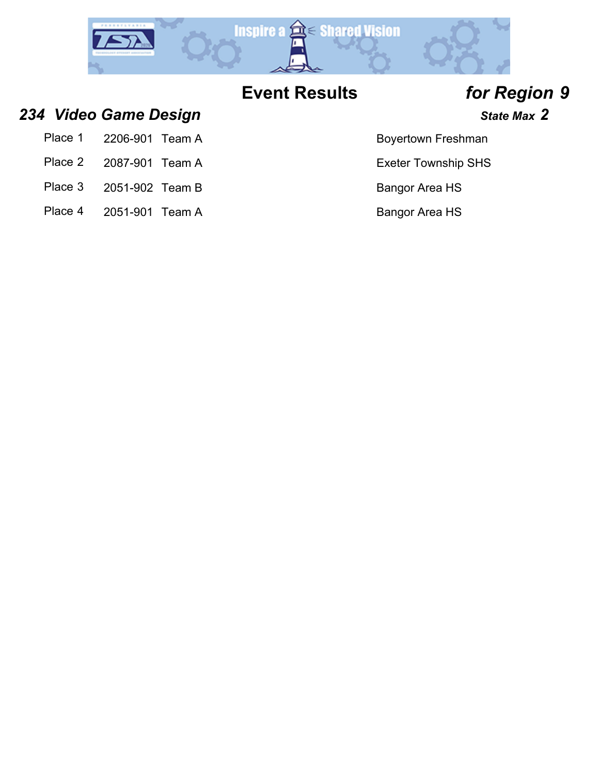

### **234 Video Game Design** *State Max* **2 and** *State Max* **2**

| Place 1 | 2206-901 Team A |  |
|---------|-----------------|--|
|         |                 |  |

- Place 2 2087-901 Team A Exeter Township SHS
- Place 3 2051-902 Team B Bangor Area HS
- Place 4 2051-901 Team A Bangor Area HS

### Boyertown Freshman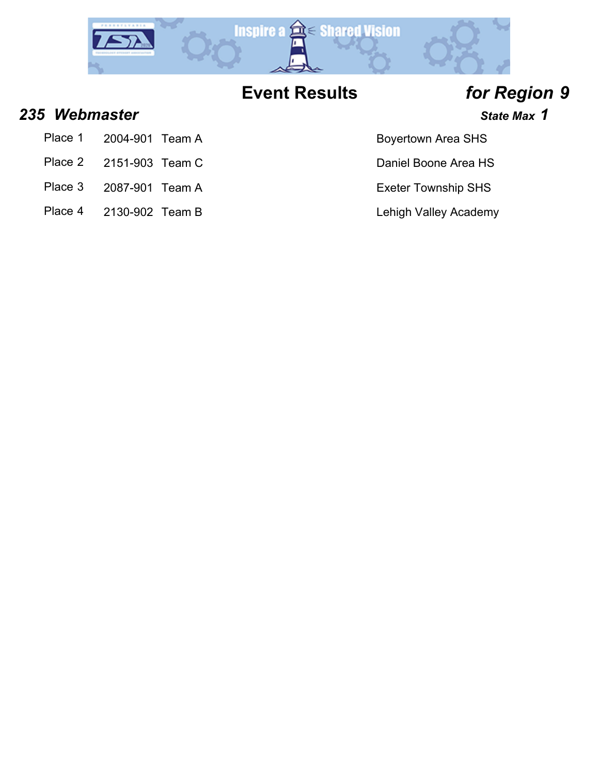

### **235 Webmaster State Max 1**

- Place 1 2004-901 Team A Boyertown Area SHS
- Place 2 2151-903 Team C Daniel Boone Area HS
- Place 3 2087-901 Team A Exeter Township SHS
- Place 4 2130-902 Team B Lehigh Valley Academy

- 
-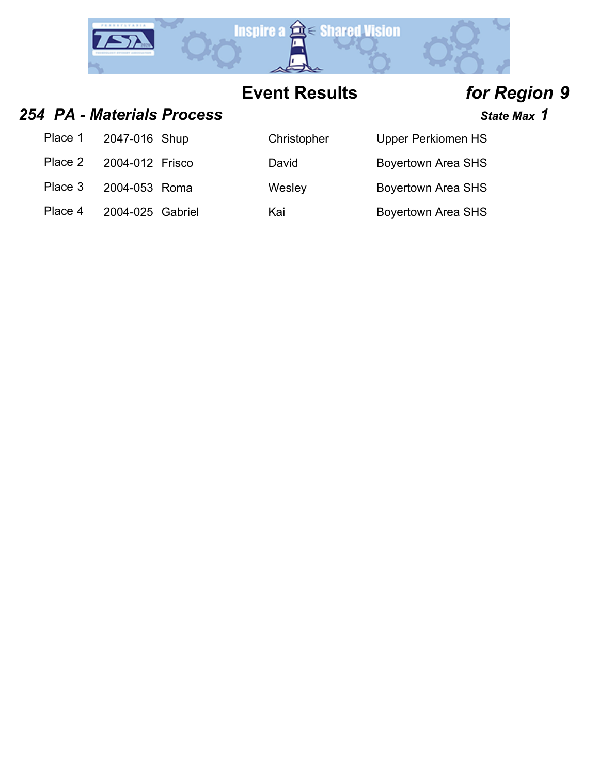

### *254 PA - Materials Process State Max 1*

| Place 1 | 2047-016 Shup    | Christopher | <b>Upper Perkiomen HS</b> |
|---------|------------------|-------------|---------------------------|
| Place 2 | 2004-012 Frisco  | David       | <b>Boyertown Area SHS</b> |
| Place 3 | 2004-053 Roma    | Wesley      | <b>Boyertown Area SHS</b> |
| Place 4 | 2004-025 Gabriel | Kai         | <b>Boyertown Area SHS</b> |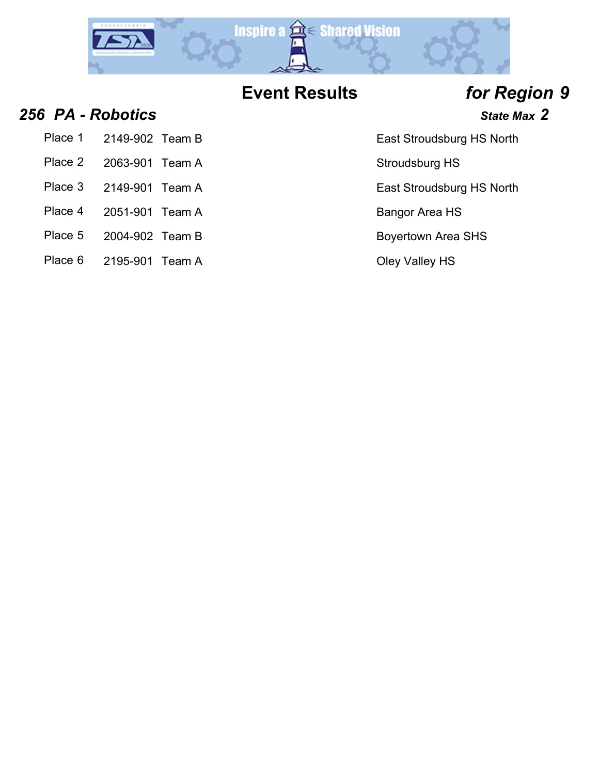

### **256 PA - Robotics State Max 2**

- Place 1 2149-902 Team B East Stroudsburg HS North
- Place 2 2063-901 Team A Stroudsburg HS
- Place 3 2149-901 Team A East Stroudsburg HS North
- Place 4 2051-901 Team A Bangor Area HS
- 
- Place 5 2004-902 Team B Boyertown Area SHS
- Place 6 2195-901 Team A Cley Valley HS

- 
- 
- 
- 
- 
-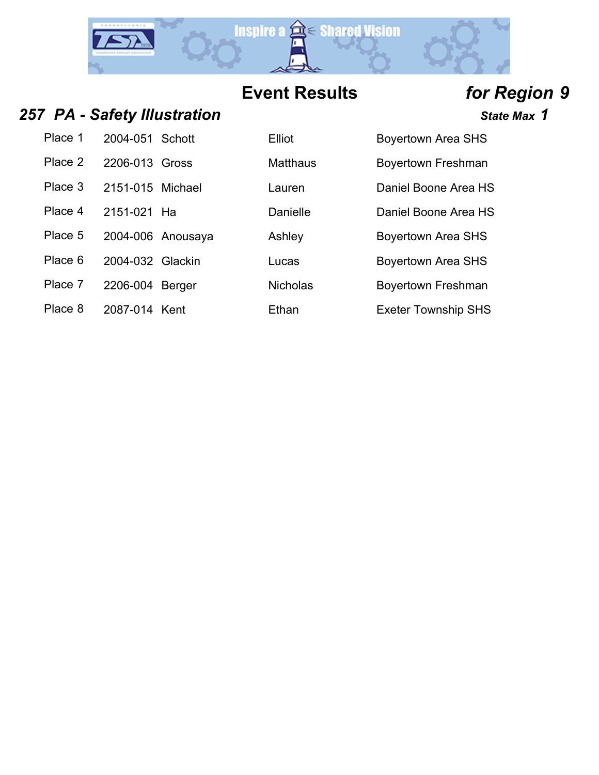

### 257 PA - Safety Illustration *257 PA - Safety Illustration*

| Place 1 | 2004-051 Schott  |    |
|---------|------------------|----|
| Place 2 | 2206-013 Gross   |    |
| Place 3 | 2151-015 Michael |    |
| Place 4 | 2151-021         | Hа |
| Place 5 | 2004-006 Anousay |    |
| Place 6 | 2004-032 Glackin |    |
| Place 7 | 2206-004 Berger  |    |
| Place 8 | 2087-014 Kent    |    |

| Place 1 | 2004-051 Schott   |               | Elliot          | <b>Boyertown Area SHS</b> |
|---------|-------------------|---------------|-----------------|---------------------------|
| Place 2 | 2206-013 Gross    |               | <b>Matthaus</b> | Boyertown Freshman        |
| Place 3 | 2151-015 Michael  |               | Lauren          | Daniel Boone Area HS      |
| Place 4 | 2151-021 Ha       |               | Danielle        | Daniel Boone Area HS      |
| Place 5 | 2004-006 Anousaya |               | Ashley          | <b>Boyertown Area SHS</b> |
| Place 6 | 2004-032 Glackin  |               | Lucas           | Boyertown Area SHS        |
| Place 7 | 2206-004          | <b>Berger</b> | <b>Nicholas</b> | Boyertown Freshman        |

Ethan Exeter Township SHS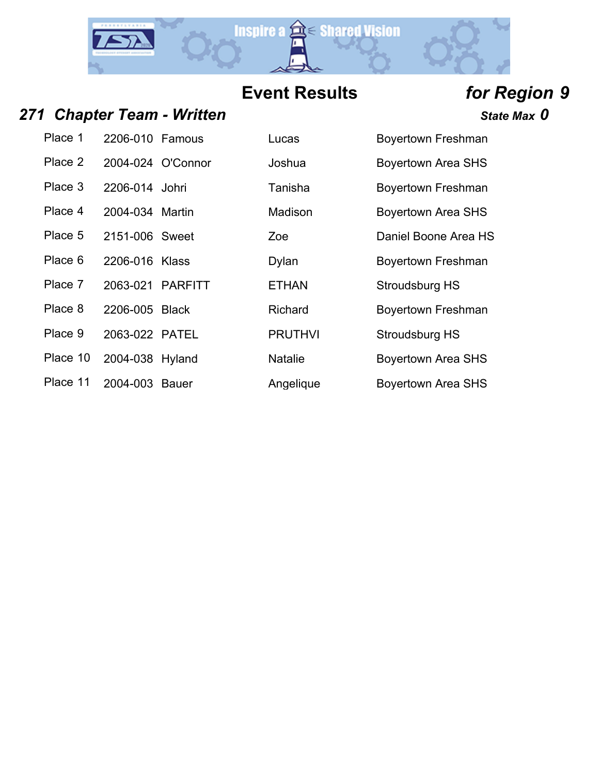

## 271 Chapter Team - Written *CHAPTER <b>State Max* 0

| Place 1  | 2206-010 Famous          |                   |
|----------|--------------------------|-------------------|
| Place 2  |                          | 2004-024 O'Connor |
| Place 3  | 2206-014 Johri           |                   |
| Place 4  | 2004-034 Martin          |                   |
| Place 5  | 2151-006 Sweet           |                   |
| Place 6  | 2206-016 Klass           |                   |
| Place 7  | 2063-021 PARFITT         |                   |
| Place 8  | 2206-005 Black           |                   |
| Place 9  | 2063-022 PATEL           |                   |
|          | Place 10 2004-038 Hyland |                   |
| Place 11 | 2004-003                 | Bauer             |

| Place 1  | 2206-010 Famous  |                   | Lucas          | Boyertown Freshman        |
|----------|------------------|-------------------|----------------|---------------------------|
| Place 2  |                  | 2004-024 O'Connor | Joshua         | <b>Boyertown Area SHS</b> |
| Place 3  | 2206-014 Johri   |                   | Tanisha        | Boyertown Freshman        |
| Place 4  | 2004-034 Martin  |                   | Madison        | <b>Boyertown Area SHS</b> |
| Place 5  | 2151-006 Sweet   |                   | Zoe            | Daniel Boone Area HS      |
| Place 6  | 2206-016 Klass   |                   | Dylan          | Boyertown Freshman        |
| Place 7  | 2063-021 PARFITT |                   | <b>ETHAN</b>   | Stroudsburg HS            |
| Place 8  | 2206-005 Black   |                   | <b>Richard</b> | Boyertown Freshman        |
| Place 9  | 2063-022 PATEL   |                   | <b>PRUTHVI</b> | Stroudsburg HS            |
| Place 10 | 2004-038 Hyland  |                   | <b>Natalie</b> | <b>Boyertown Area SHS</b> |
| Place 11 | 2004-003         | <b>Bauer</b>      | Angelique      | <b>Boyertown Area SHS</b> |